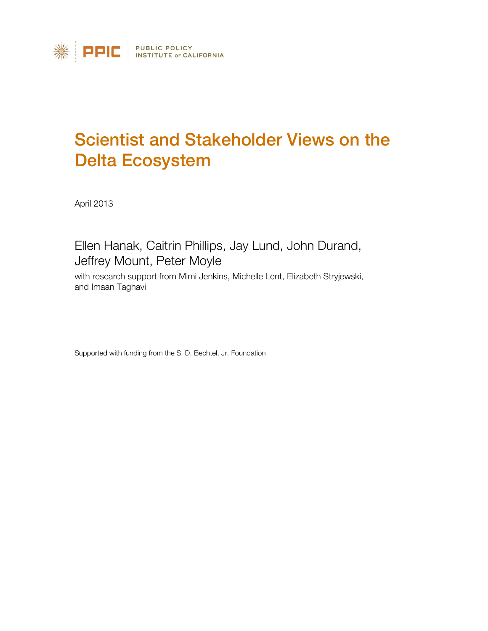

# Scientist and Stakeholder Views on the Delta Ecosystem

April 2013

## Ellen Hanak, Caitrin Phillips, Jay Lund, John Durand, Jeffrey Mount, Peter Moyle

with research support from Mimi Jenkins, Michelle Lent, Elizabeth Stryjewski, and Imaan Taghavi

Supported with funding from the S. D. Bechtel, Jr. Foundation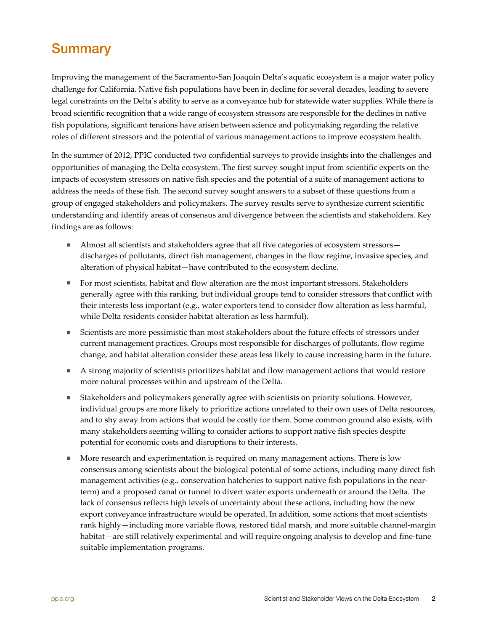## <span id="page-1-0"></span>**Summary**

Improving the management of the Sacramento-San Joaquin Delta's aquatic ecosystem is a major water policy challenge for California. Native fish populations have been in decline for several decades, leading to severe legal constraints on the Delta's ability to serve as a conveyance hub for statewide water supplies. While there is broad scientific recognition that a wide range of ecosystem stressors are responsible for the declines in native fish populations, significant tensions have arisen between science and policymaking regarding the relative roles of different stressors and the potential of various management actions to improve ecosystem health.

In the summer of 2012, PPIC conducted two confidential surveys to provide insights into the challenges and opportunities of managing the Delta ecosystem. The first survey sought input from scientific experts on the impacts of ecosystem stressors on native fish species and the potential of a suite of management actions to address the needs of these fish. The second survey sought answers to a subset of these questions from a group of engaged stakeholders and policymakers. The survey results serve to synthesize current scientific understanding and identify areas of consensus and divergence between the scientists and stakeholders. Key findings are as follows:

- Almost all scientists and stakeholders agree that all five categories of ecosystem stressors discharges of pollutants, direct fish management, changes in the flow regime, invasive species, and alteration of physical habitat—have contributed to the ecosystem decline.
- **For most scientists, habitat and flow alteration are the most important stressors. Stakeholders** generally agree with this ranking, but individual groups tend to consider stressors that conflict with their interests less important (e.g., water exporters tend to consider flow alteration as less harmful, while Delta residents consider habitat alteration as less harmful).
- Scientists are more pessimistic than most stakeholders about the future effects of stressors under current management practices. Groups most responsible for discharges of pollutants, flow regime change, and habitat alteration consider these areas less likely to cause increasing harm in the future.
- A strong majority of scientists prioritizes habitat and flow management actions that would restore more natural processes within and upstream of the Delta.
- Stakeholders and policymakers generally agree with scientists on priority solutions. However, individual groups are more likely to prioritize actions unrelated to their own uses of Delta resources, and to shy away from actions that would be costly for them. Some common ground also exists, with many stakeholders seeming willing to consider actions to support native fish species despite potential for economic costs and disruptions to their interests.
- **More research and experimentation is required on many management actions. There is low** consensus among scientists about the biological potential of some actions, including many direct fish management activities (e.g., conservation hatcheries to support native fish populations in the nearterm) and a proposed canal or tunnel to divert water exports underneath or around the Delta. The lack of consensus reflects high levels of uncertainty about these actions, including how the new export conveyance infrastructure would be operated. In addition, some actions that most scientists rank highly—including more variable flows, restored tidal marsh, and more suitable channel-margin habitat—are still relatively experimental and will require ongoing analysis to develop and fine-tune suitable implementation programs.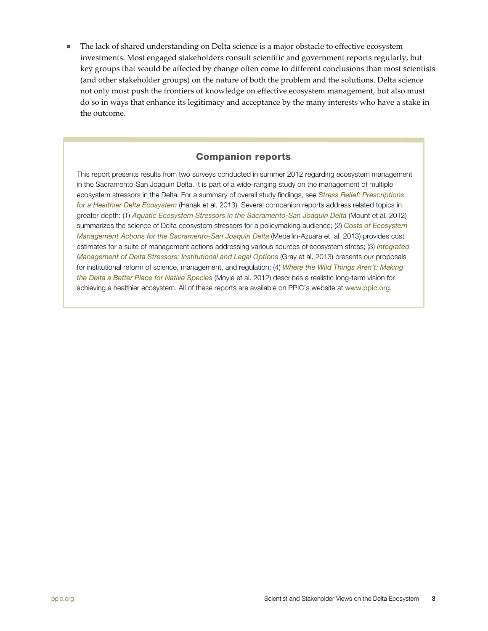The lack of shared understanding on Delta science is a major obstacle to effective ecosystem investments. Most engaged stakeholders consult scientific and government reports regularly, but key groups that would be affected by change often come to different conclusions than most scientists (and other stakeholder groups) on the nature of both the problem and the solutions. Delta science not only must push the frontiers of knowledge on effective ecosystem management, but also must do so in ways that enhance its legitimacy and acceptance by the many interests who have a stake in the outcome.

### Companion reports

This report presents results from two surveys conducted in summer 2012 regarding ecosystem management in the Sacramento-San Joaquin Delta. It is part of a wide-ranging study on the management of multiple ecosystem stressors in the Delta. For a summary of overall study findings, see *[Stress Relief: Prescriptions](http://www.ppic.org/main/publication.asp?i=1051)  [for a Healthier Delta Ecosystem](http://www.ppic.org/main/publication.asp?i=1051)* (Hanak et al. 2013). Several companion reports address related topics in greater depth: (1) *[Aquatic Ecosystem Stressors in the Sacramento-San Joaquin Delta](http://www.ppic.org/main/publication.asp?i=1024)* (Mount et al. 2012) summarizes the science of Delta ecosystem stressors for a policymaking audience; (2) *[Costs of Ecosystem](http://www.ppic.org/main/publication.asp?i=1052)  [Management Actions for the Sacramento-San Joaquin Delta](http://www.ppic.org/main/publication.asp?i=1052)* (Medellín-Azuara et. al. 2013) provides cost estimates for a suite of management actions addressing various sources of ecosystem stress; (3) *[Integrated](http://www.ppic.org/main/publication.asp?i=1054)  [Management of Delta Stressors: Institutional and Legal Options](http://www.ppic.org/main/publication.asp?i=1054)* (Gray et al. 2013) presents our proposals for institutional reform of science, management, and regulation; (4) *[Where the Wild Things Aren't: Making](http://www.ppic.org/main/publication.asp?i=1025)  [the Delta a Better Place for Native Species](http://www.ppic.org/main/publication.asp?i=1025)* (Moyle et al. 2012) describes a realistic long-term vision for achieving a healthier ecosystem. All of these reports are available on PPIC's website at <www.ppic.org>.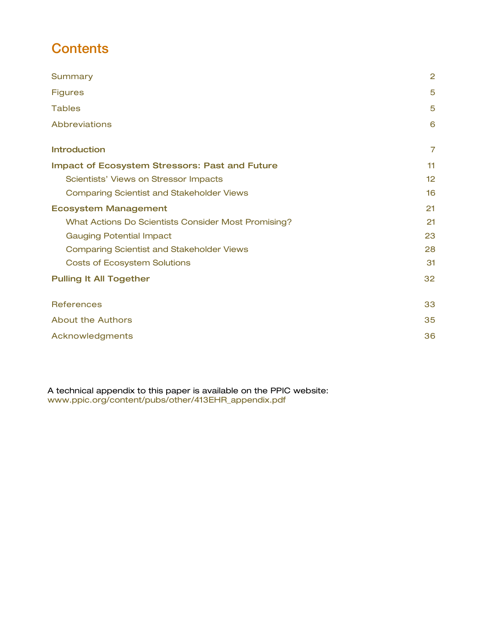# **Contents**

| Summary                                               | $\overline{2}$ |
|-------------------------------------------------------|----------------|
| <b>Figures</b>                                        | 5              |
| <b>Tables</b>                                         | 5              |
| <b>Abbreviations</b>                                  | 6              |
| <b>Introduction</b>                                   | $\overline{7}$ |
| <b>Impact of Ecosystem Stressors: Past and Future</b> | 11             |
| Scientists' Views on Stressor Impacts                 | 12             |
| <b>Comparing Scientist and Stakeholder Views</b>      | 16             |
| <b>Ecosystem Management</b>                           | 21             |
| What Actions Do Scientists Consider Most Promising?   | 21             |
| <b>Gauging Potential Impact</b>                       | 23             |
| <b>Comparing Scientist and Stakeholder Views</b>      | 28             |
| <b>Costs of Ecosystem Solutions</b>                   | 31             |
| <b>Pulling It All Together</b>                        | 32             |
| <b>References</b>                                     | 33             |
| <b>About the Authors</b>                              | 35             |
| Acknowledgments                                       | 36             |

A technical appendix to this paper is available on the PPIC website: [www.ppic.org/content/pubs/other/413EHR\\_appendix.pdf](http://www.ppic.org/content/pubs/other/413EHR_appendix.pdf)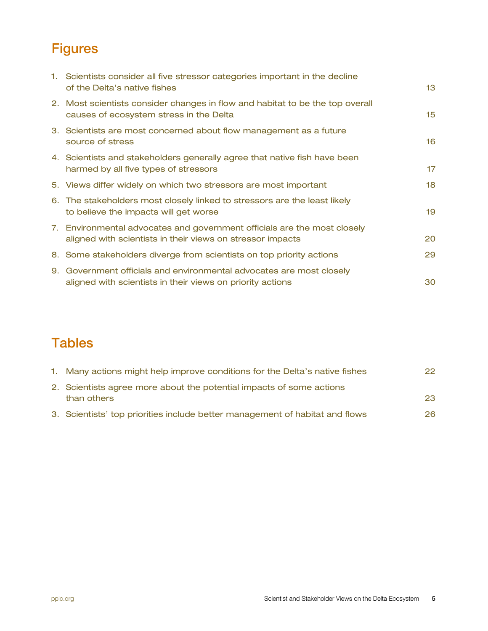# <span id="page-4-0"></span>**Figures**

| 1. Scientists consider all five stressor categories important in the decline<br>of the Delta's native fishes                           | 13      |
|----------------------------------------------------------------------------------------------------------------------------------------|---------|
| 2. Most scientists consider changes in flow and habitat to be the top overall<br>causes of ecosystem stress in the Delta               | 15      |
| 3. Scientists are most concerned about flow management as a future<br>source of stress                                                 | 16      |
| 4. Scientists and stakeholders generally agree that native fish have been<br>harmed by all five types of stressors                     | $17 \,$ |
| 5. Views differ widely on which two stressors are most important                                                                       | 18      |
| 6. The stakeholders most closely linked to stressors are the least likely<br>to believe the impacts will get worse                     | 19      |
| 7. Environmental advocates and government officials are the most closely<br>aligned with scientists in their views on stressor impacts | 20      |
| 8. Some stakeholders diverge from scientists on top priority actions                                                                   | 29      |
| 9. Government officials and environmental advocates are most closely<br>aligned with scientists in their views on priority actions     | 30      |

## <span id="page-4-1"></span>**Tables**

| 1. Many actions might help improve conditions for the Delta's native fishes  | 22. |
|------------------------------------------------------------------------------|-----|
| 2. Scientists agree more about the potential impacts of some actions         |     |
| than others                                                                  | 23  |
| 3. Scientists' top priorities include better management of habitat and flows | 26. |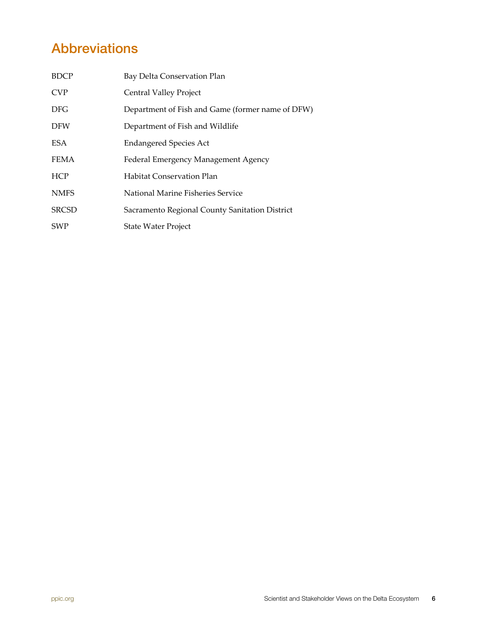# <span id="page-5-0"></span>Abbreviations

| <b>BDCP</b>  | Bay Delta Conservation Plan                      |
|--------------|--------------------------------------------------|
| <b>CVP</b>   | Central Valley Project                           |
| DFG          | Department of Fish and Game (former name of DFW) |
| <b>DFW</b>   | Department of Fish and Wildlife                  |
| <b>ESA</b>   | <b>Endangered Species Act</b>                    |
| <b>FEMA</b>  | Federal Emergency Management Agency              |
| <b>HCP</b>   | Habitat Conservation Plan                        |
| <b>NMFS</b>  | National Marine Fisheries Service                |
| <b>SRCSD</b> | Sacramento Regional County Sanitation District   |
| <b>SWP</b>   | State Water Project                              |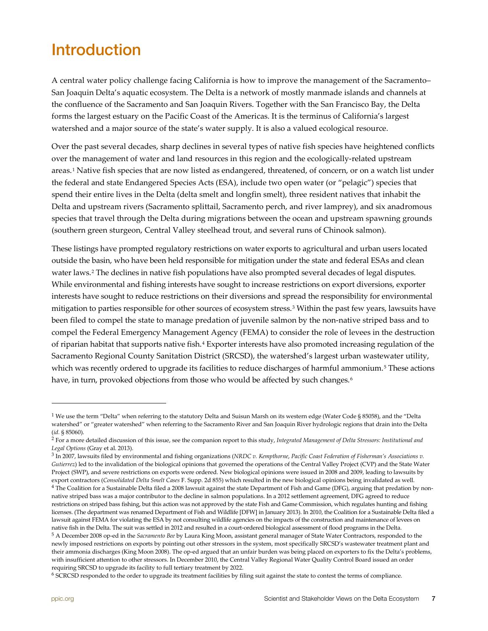# <span id="page-6-0"></span>Introduction

A central water policy challenge facing California is how to improve the management of the Sacramento– San Joaquin Delta's aquatic ecosystem. The Delta is a network of mostly manmade islands and channels at the confluence of the Sacramento and San Joaquin Rivers. Together with the San Francisco Bay, the Delta forms the largest estuary on the Pacific Coast of the Americas. It is the terminus of California's largest watershed and a major source of the state's water supply. It is also a valued ecological resource.

Over the past several decades, sharp declines in several types of native fish species have heightened conflicts over the management of water and land resources in this region and the ecologically-related upstream areas.<sup>1</sup> Native fish species that are now listed as endangered, threatened, of concern, or on a watch list under the federal and state Endangered Species Acts (ESA), include two open water (or "pelagic") species that spend their entire lives in the Delta (delta smelt and longfin smelt), three resident natives that inhabit the Delta and upstream rivers (Sacramento splittail, Sacramento perch, and river lamprey), and six anadromous species that travel through the Delta during migrations between the ocean and upstream spawning grounds (southern green sturgeon, Central Valley steelhead trout, and several runs of Chinook salmon).

These listings have prompted regulatory restrictions on water exports to agricultural and urban users located outside the basin, who have been held responsible for mitigation under the state and federal ESAs and clean water laws.[2](#page-6-2) The declines in native fish populations have also prompted several decades of legal disputes. While environmental and fishing interests have sought to increase restrictions on export diversions, exporter interests have sought to reduce restrictions on their diversions and spread the responsibility for environmental mitigation to parties responsible for other sources of ecosystem stress.[3](#page-6-3) Within the past few years, lawsuits have been filed to compel the state to manage predation of juvenile salmon by the non-native striped bass and to compel the Federal Emergency Management Agency (FEMA) to consider the role of levees in the destruction of riparian habitat that supports native fish.[4](#page-6-4) Exporter interests have also promoted increasing regulation of the Sacramento Regional County Sanitation District (SRCSD), the watershed's largest urban wastewater utility, which was recently ordered to upgrade its facilities to reduce discharges of harmful ammonium.<sup>[5](#page-6-5)</sup> These actions have, in turn, provoked objections from those who would be affected by such changes.<sup>6</sup>

<span id="page-6-3"></span><sup>3</sup> In 2007, lawsuits filed by environmental and fishing organizations (*NRDC v. Kempthorne*, *Pacific Coast Federation of Fisherman's Associations v. Gutierrez*) led to the invalidation of the biological opinions that governed the operations of the Central Valley Project (CVP) and the State Water Project (SWP), and severe restrictions on exports were ordered. New biological opinions were issued in 2008 and 2009, leading to lawsuits by export contractors (Consolidated Delta Smelt Cases F. Supp. 2d 855) which resulted in the new biological opinions being invalidated as well.<br><sup>4</sup> The Coalition for a Sustainable Delta filed a 2008 lawsuit against the state

<span id="page-6-4"></span>native striped bass was a major contributor to the decline in salmon populations. In a 2012 settlement agreement, DFG agreed to reduce restrictions on striped bass fishing, but this action was not approved by the state Fish and Game Commission, which regulates hunting and fishing licenses. (The department was renamed Department of Fish and Wildlife [DFW] in January 2013). In 2010, the Coalition for a Sustainable Delta filed a lawsuit against FEMA for violating the ESA by not consulting wildlife agencies on the impacts of the construction and maintenance of levees on native fish in the Delta. The suit was settled in 2012 and resulted in a court-ordered biological assessment of flood programs in the Delta.<br><sup>5</sup> A December 2008 op-ed in the *Sacramento Bee* by Laura King Moon, assistant g

<span id="page-6-6"></span><sup>6</sup> SCRCSD responded to the order to upgrade its treatment facilities by filing suit against the state to contest the terms of compliance.

<span id="page-6-1"></span><sup>&</sup>lt;sup>1</sup> We use the term "Delta" when referring to the statutory Delta and Suisun Marsh on its western edge (Water Code § 85058), and the "Delta watershed" or "greater watershed" when referring to the Sacramento River and San Joaquin River hydrologic regions that drain into the Delta (*id.* § 85060). 2 For a more detailed discussion of this issue, see the companion report to this study, *Integrated Management of Delta Stressors: Institutional and* 

<span id="page-6-2"></span>*Legal Options* (Gray et al. 2013).

<span id="page-6-5"></span>newly imposed restrictions on exports by pointing out other stressors in the system, most specifically SRCSD's wastewater treatment plant and their ammonia discharges (King Moon 2008). The op-ed argued that an unfair burden was being placed on exporters to fix the Delta's problems, with insufficient attention to other stressors. In December 2010, the Central Valley Regional Water Quality Control Board issued an order requiring SRCSD to upgrade its facility to full tertiary treatment by 2022.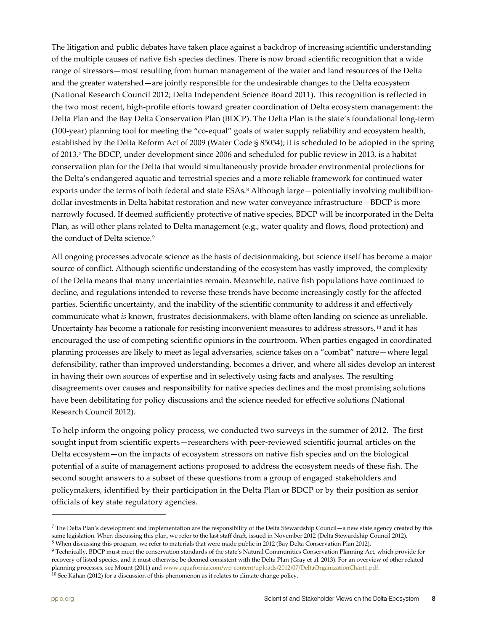The litigation and public debates have taken place against a backdrop of increasing scientific understanding of the multiple causes of native fish species declines. There is now broad scientific recognition that a wide range of stressors—most resulting from human management of the water and land resources of the Delta and the greater watershed—are jointly responsible for the undesirable changes to the Delta ecosystem (National Research Council 2012; Delta Independent Science Board 2011). This recognition is reflected in the two most recent, high-profile efforts toward greater coordination of Delta ecosystem management: the Delta Plan and the Bay Delta Conservation Plan (BDCP). The Delta Plan is the state's foundational long-term (100-year) planning tool for meeting the "co-equal" goals of water supply reliability and ecosystem health, established by the Delta Reform Act of 2009 (Water Code § 85054); it is scheduled to be adopted in the spring of 2013.[7](#page-7-0) The BDCP, under development since 2006 and scheduled for public review in 2013, is a habitat conservation plan for the Delta that would simultaneously provide broader environmental protections for the Delta's endangered aquatic and terrestrial species and a more reliable framework for continued water exports under the terms of both federal and state ESAs.<sup>[8](#page-7-1)</sup> Although large—potentially involving multibilliondollar investments in Delta habitat restoration and new water conveyance infrastructure—BDCP is more narrowly focused. If deemed sufficiently protective of native species, BDCP will be incorporated in the Delta Plan, as will other plans related to Delta management (e.g., water quality and flows, flood protection) and the conduct of Delta science.<sup>[9](#page-7-2)</sup>

All ongoing processes advocate science as the basis of decisionmaking, but science itself has become a major source of conflict. Although scientific understanding of the ecosystem has vastly improved, the complexity of the Delta means that many uncertainties remain. Meanwhile, native fish populations have continued to decline, and regulations intended to reverse these trends have become increasingly costly for the affected parties. Scientific uncertainty, and the inability of the scientific community to address it and effectively communicate what *is* known, frustrates decisionmakers, with blame often landing on science as unreliable. Uncertainty has become a rationale for resisting inconvenient measures to address stressors,<sup>[10](#page-7-3)</sup> and it has encouraged the use of competing scientific opinions in the courtroom. When parties engaged in coordinated planning processes are likely to meet as legal adversaries, science takes on a "combat" nature—where legal defensibility, rather than improved understanding, becomes a driver, and where all sides develop an interest in having their own sources of expertise and in selectively using facts and analyses. The resulting disagreements over causes and responsibility for native species declines and the most promising solutions have been debilitating for policy discussions and the science needed for effective solutions (National Research Council 2012).

To help inform the ongoing policy process, we conducted two surveys in the summer of 2012. The first sought input from scientific experts—researchers with peer-reviewed scientific journal articles on the Delta ecosystem—on the impacts of ecosystem stressors on native fish species and on the biological potential of a suite of management actions proposed to address the ecosystem needs of these fish. The second sought answers to a subset of these questions from a group of engaged stakeholders and policymakers, identified by their participation in the Delta Plan or BDCP or by their position as senior officials of key state regulatory agencies.

<span id="page-7-0"></span> $^7$  The Delta Plan's development and implementation are the responsibility of the Delta Stewardship Council—a new state agency created by this same legislation. When discussing this plan, we refer to the last staff draft, issued in November 2012 (Delta Stewardship Council 2012).

<span id="page-7-2"></span><span id="page-7-1"></span><sup>&</sup>lt;sup>8</sup> When discussing this program, we refer to materials that were made public in 2012 (Bay Delta Conservation Plan 2012).

<span id="page-7-3"></span><sup>&</sup>lt;sup>9</sup> Technically, BDCP must meet the conservation standards of the state's Natural Communities Conservation Planning Act, which provide for recovery of listed species, and it must otherwise be deemed consistent with the Delta Plan (Gray et al. 2013). For an overview of other related planning processes, see Mount (2011) and www.aquafornia.com/wp-content/uploads/2012/07/DeltaOrganizationChart1.pdf.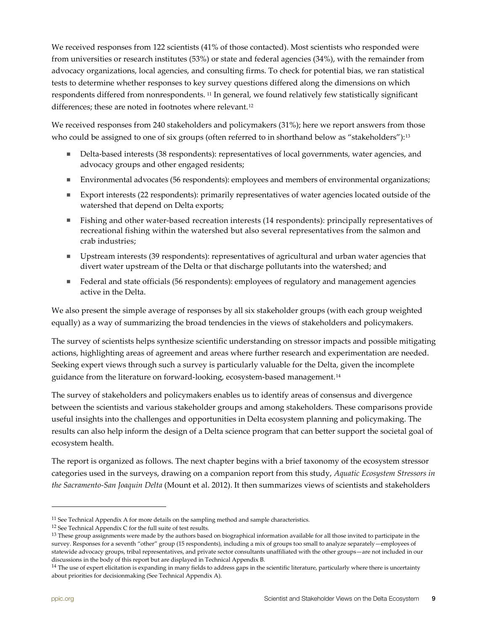We received responses from 122 scientists (41% of those contacted). Most scientists who responded were from universities or research institutes (53%) or state and federal agencies (34%), with the remainder from advocacy organizations, local agencies, and consulting firms. To check for potential bias, we ran statistical tests to determine whether responses to key survey questions differed along the dimensions on which respondents differed from nonrespondents. [11](#page-8-0) In general, we found relatively few statistically significant differences; these are noted in footnotes where relevant.<sup>[12](#page-8-1)</sup>

We received responses from 240 stakeholders and policymakers (31%); here we report answers from those who could be assigned to one of six groups (often referred to in shorthand below as "stakeholders"):<sup>[13](#page-8-2)</sup>

- Delta-based interests (38 respondents): representatives of local governments, water agencies, and advocacy groups and other engaged residents;
- Environmental advocates (56 respondents): employees and members of environmental organizations;
- Export interests (22 respondents): primarily representatives of water agencies located outside of the watershed that depend on Delta exports;
- Fishing and other water-based recreation interests (14 respondents): principally representatives of recreational fishing within the watershed but also several representatives from the salmon and crab industries;
- Upstream interests (39 respondents): representatives of agricultural and urban water agencies that divert water upstream of the Delta or that discharge pollutants into the watershed; and
- Federal and state officials (56 respondents): employees of regulatory and management agencies active in the Delta.

We also present the simple average of responses by all six stakeholder groups (with each group weighted equally) as a way of summarizing the broad tendencies in the views of stakeholders and policymakers.

The survey of scientists helps synthesize scientific understanding on stressor impacts and possible mitigating actions, highlighting areas of agreement and areas where further research and experimentation are needed. Seeking expert views through such a survey is particularly valuable for the Delta, given the incomplete guidance from the literature on forward-looking, ecosystem-based management.<sup>14</sup>

The survey of stakeholders and policymakers enables us to identify areas of consensus and divergence between the scientists and various stakeholder groups and among stakeholders. These comparisons provide useful insights into the challenges and opportunities in Delta ecosystem planning and policymaking. The results can also help inform the design of a Delta science program that can better support the societal goal of ecosystem health.

The report is organized as follows. The next chapter begins with a brief taxonomy of the ecosystem stressor categories used in the surveys, drawing on a companion report from this study, *[Aquatic Ecosystem Stressors in](http://www.ppic.org/main/publication.asp?i=1024) [the Sacramento-San Joaquin Delta](http://www.ppic.org/main/publication.asp?i=1024)* (Mount et al. 2012). It then summarizes views of scientists and stakeholders

<span id="page-8-0"></span> $^{11}$  See Technical Appendix A for more details on the sampling method and sample characteristics.

<span id="page-8-1"></span><sup>12</sup> See Technical Appendix C for the full suite of test results.

<span id="page-8-2"></span><sup>&</sup>lt;sup>13</sup> These group assignments were made by the authors based on biographical information available for all those invited to participate in the survey. Responses for a seventh "other" group (15 respondents), including a mix of groups too small to analyze separately—employees of statewide advocacy groups, tribal representatives, and private sector consultants unaffiliated with the other groups—are not included in our discussions in the body of this report but are displayed in Technical Appendix B.

<span id="page-8-3"></span> $<sup>14</sup>$  The use of expert elicitation is expanding in many fields to address gaps in the scientific literature, particularly where there is uncertainty</sup> about priorities for decisionmaking (See Technical Appendix A).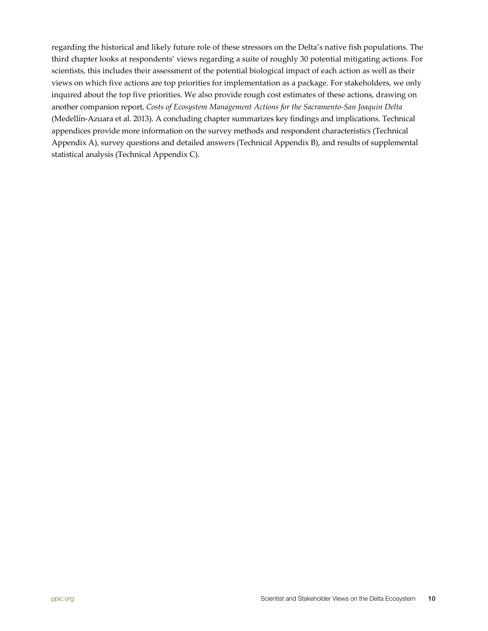regarding the historical and likely future role of these stressors on the Delta's native fish populations. The third chapter looks at respondents' views regarding a suite of roughly 30 potential mitigating actions. For scientists, this includes their assessment of the potential biological impact of each action as well as their views on which five actions are top priorities for implementation as a package. For stakeholders, we only inquired about the top five priorities. We also provide rough cost estimates of these actions, drawing on another companion report, *[Costs of Ecosystem Management Actions](http://www.ppic.org/main/publication.asp?i=1052) for the Sacramento-San Joaquin Delta* (Medellín-Azuara et al. 2013). A concluding chapter summarizes key findings and implications. Technical appendices provide more information on the survey methods and respondent characteristics (Technical Appendix A), survey questions and detailed answers (Technical Appendix B), and results of supplemental statistical analysis (Technical Appendix C).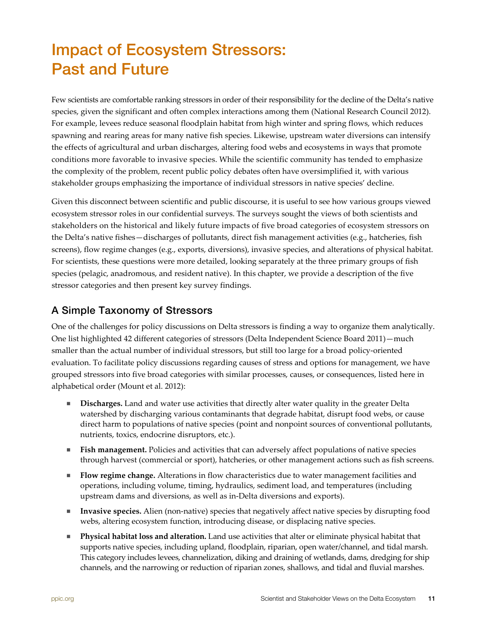# <span id="page-10-0"></span>Impact of Ecosystem Stressors: Past and Future

Few scientists are comfortable ranking stressors in order of their responsibility for the decline of the Delta's native species, given the significant and often complex interactions among them (National Research Council 2012). For example, levees reduce seasonal floodplain habitat from high winter and spring flows, which reduces spawning and rearing areas for many native fish species. Likewise, upstream water diversions can intensify the effects of agricultural and urban discharges, altering food webs and ecosystems in ways that promote conditions more favorable to invasive species. While the scientific community has tended to emphasize the complexity of the problem, recent public policy debates often have oversimplified it, with various stakeholder groups emphasizing the importance of individual stressors in native species' decline.

Given this disconnect between scientific and public discourse, it is useful to see how various groups viewed ecosystem stressor roles in our confidential surveys. The surveys sought the views of both scientists and stakeholders on the historical and likely future impacts of five broad categories of ecosystem stressors on the Delta's native fishes—discharges of pollutants, direct fish management activities (e.g., hatcheries, fish screens), flow regime changes (e.g., exports, diversions), invasive species, and alterations of physical habitat. For scientists, these questions were more detailed, looking separately at the three primary groups of fish species (pelagic, anadromous, and resident native). In this chapter, we provide a description of the five stressor categories and then present key survey findings.

### A Simple Taxonomy of Stressors

One of the challenges for policy discussions on Delta stressors is finding a way to organize them analytically. One list highlighted 42 different categories of stressors (Delta Independent Science Board 2011)—much smaller than the actual number of individual stressors, but still too large for a broad policy-oriented evaluation. To facilitate policy discussions regarding causes of stress and options for management, we have grouped stressors into five broad categories with similar processes, causes, or consequences, listed here in alphabetical order (Mount et al. 2012):

- **Discharges.** Land and water use activities that directly alter water quality in the greater Delta watershed by discharging various contaminants that degrade habitat, disrupt food webs, or cause direct harm to populations of native species (point and nonpoint sources of conventional pollutants, nutrients, toxics, endocrine disruptors, etc.).
- **Fish management.** Policies and activities that can adversely affect populations of native species through harvest (commercial or sport), hatcheries, or other management actions such as fish screens.
- **Flow regime change.** Alterations in flow characteristics due to water management facilities and operations, including volume, timing, hydraulics, sediment load, and temperatures (including upstream dams and diversions, as well as in-Delta diversions and exports).
- **Invasive species.** Alien (non-native) species that negatively affect native species by disrupting food webs, altering ecosystem function, introducing disease, or displacing native species.
- **Physical habitat loss and alteration.** Land use activities that alter or eliminate physical habitat that supports native species, including upland, floodplain, riparian, open water/channel, and tidal marsh. This category includes levees, channelization, diking and draining of wetlands, dams, dredging for ship channels, and the narrowing or reduction of riparian zones, shallows, and tidal and fluvial marshes.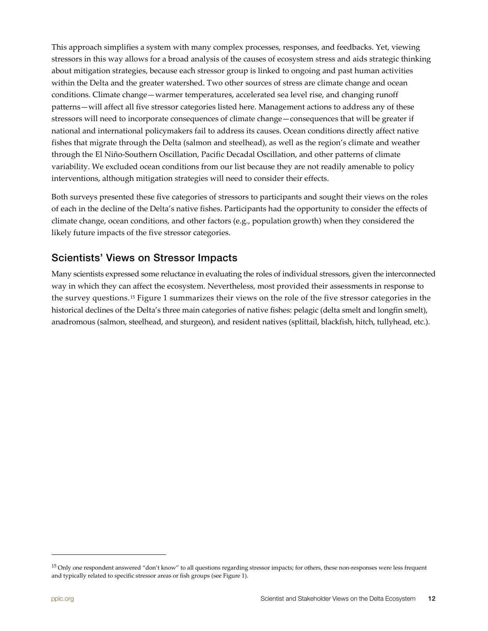This approach simplifies a system with many complex processes, responses, and feedbacks. Yet, viewing stressors in this way allows for a broad analysis of the causes of ecosystem stress and aids strategic thinking about mitigation strategies, because each stressor group is linked to ongoing and past human activities within the Delta and the greater watershed. Two other sources of stress are climate change and ocean conditions. Climate change—warmer temperatures, accelerated sea level rise, and changing runoff patterns—will affect all five stressor categories listed here. Management actions to address any of these stressors will need to incorporate consequences of climate change—consequences that will be greater if national and international policymakers fail to address its causes. Ocean conditions directly affect native fishes that migrate through the Delta (salmon and steelhead), as well as the region's climate and weather through the El Niño-Southern Oscillation, Pacific Decadal Oscillation, and other patterns of climate variability. We excluded ocean conditions from our list because they are not readily amenable to policy interventions, although mitigation strategies will need to consider their effects.

Both surveys presented these five categories of stressors to participants and sought their views on the roles of each in the decline of the Delta's native fishes. Participants had the opportunity to consider the effects of climate change, ocean conditions, and other factors (e.g., population growth) when they considered the likely future impacts of the five stressor categories.

### <span id="page-11-0"></span>Scientists' Views on Stressor Impacts

Many scientists expressed some reluctance in evaluating the roles of individual stressors, given the interconnected way in which they can affect the ecosystem. Nevertheless, most provided their assessments in response to the survey questions.[15](#page-11-1) Figure 1 summarizes their views on the role of the five stressor categories in the historical declines of the Delta's three main categories of native fishes: pelagic (delta smelt and longfin smelt), anadromous (salmon, steelhead, and sturgeon), and resident natives (splittail, blackfish, hitch, tullyhead, etc.).

<span id="page-11-1"></span><sup>&</sup>lt;sup>15</sup> Only one respondent answered "don't know" to all questions regarding stressor impacts; for others, these non-responses were less frequent and typically related to specific stressor areas or fish groups (see Figure 1).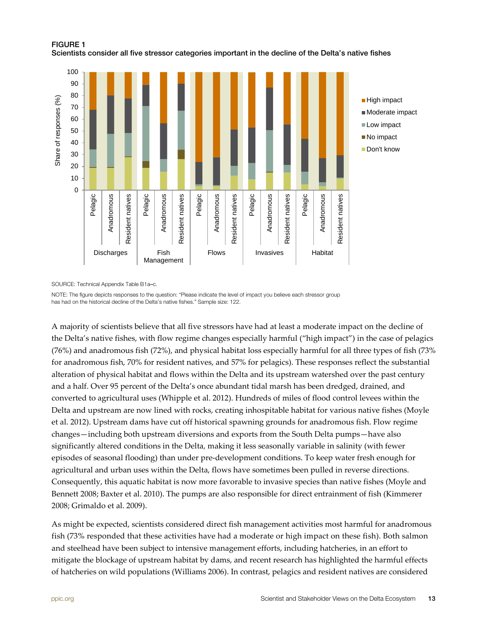<span id="page-12-0"></span>FIGURE 1



Scientists consider all five stressor categories important in the decline of the Delta's native fishes

SOURCE: Technical Appendix Table B1a–c.

NOTE: The figure depicts responses to the question: "Please indicate the level of impact you believe each stressor group has had on the historical decline of the Delta's native fishes." Sample size: 122.

A majority of scientists believe that all five stressors have had at least a moderate impact on the decline of the Delta's native fishes, with flow regime changes especially harmful ("high impact") in the case of pelagics (76%) and anadromous fish (72%), and physical habitat loss especially harmful for all three types of fish (73% for anadromous fish, 70% for resident natives, and 57% for pelagics). These responses reflect the substantial alteration of physical habitat and flows within the Delta and its upstream watershed over the past century and a half. Over 95 percent of the Delta's once abundant tidal marsh has been dredged, drained, and converted to agricultural uses (Whipple et al. 2012). Hundreds of miles of flood control levees within the Delta and upstream are now lined with rocks, creating inhospitable habitat for various native fishes (Moyle et al. 2012). Upstream dams have cut off historical spawning grounds for anadromous fish. Flow regime changes—including both upstream diversions and exports from the South Delta pumps—have also significantly altered conditions in the Delta, making it less seasonally variable in salinity (with fewer episodes of seasonal flooding) than under pre-development conditions. To keep water fresh enough for agricultural and urban uses within the Delta, flows have sometimes been pulled in reverse directions. Consequently, this aquatic habitat is now more favorable to invasive species than native fishes (Moyle and Bennett 2008; Baxter et al. 2010). The pumps are also responsible for direct entrainment of fish (Kimmerer 2008; Grimaldo et al. 2009).

As might be expected, scientists considered direct fish management activities most harmful for anadromous fish (73% responded that these activities have had a moderate or high impact on these fish). Both salmon and steelhead have been subject to intensive management efforts, including hatcheries, in an effort to mitigate the blockage of upstream habitat by dams, and recent research has highlighted the harmful effects of hatcheries on wild populations (Williams 2006). In contrast, pelagics and resident natives are considered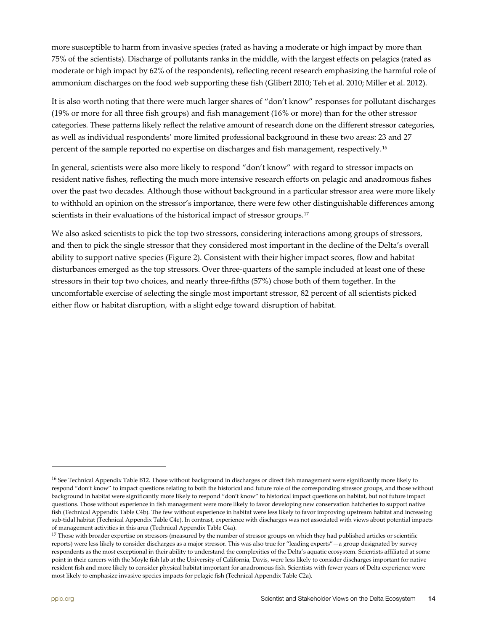more susceptible to harm from invasive species (rated as having a moderate or high impact by more than 75% of the scientists). Discharge of pollutants ranks in the middle, with the largest effects on pelagics (rated as moderate or high impact by 62% of the respondents), reflecting recent research emphasizing the harmful role of ammonium discharges on the food web supporting these fish (Glibert 2010; Teh et al. 2010; Miller et al. 2012).

It is also worth noting that there were much larger shares of "don't know" responses for pollutant discharges (19% or more for all three fish groups) and fish management (16% or more) than for the other stressor categories. These patterns likely reflect the relative amount of research done on the different stressor categories, as well as individual respondents' more limited professional background in these two areas: 23 and 27 percent of the sample reported no expertise on discharges and fish management, respectively.[16](#page-13-0) 

In general, scientists were also more likely to respond "don't know" with regard to stressor impacts on resident native fishes, reflecting the much more intensive research efforts on pelagic and anadromous fishes over the past two decades. Although those without background in a particular stressor area were more likely to withhold an opinion on the stressor's importance, there were few other distinguishable differences among scientists in their evaluations of the historical impact of stressor groups.<sup>[17](#page-13-1)</sup>

We also asked scientists to pick the top two stressors, considering interactions among groups of stressors, and then to pick the single stressor that they considered most important in the decline of the Delta's overall ability to support native species (Figure 2). Consistent with their higher impact scores, flow and habitat disturbances emerged as the top stressors. Over three-quarters of the sample included at least one of these stressors in their top two choices, and nearly three-fifths (57%) chose both of them together. In the uncomfortable exercise of selecting the single most important stressor, 82 percent of all scientists picked either flow or habitat disruption, with a slight edge toward disruption of habitat.

<span id="page-13-0"></span> $^{16}$  See Technical Appendix Table B12. Those without background in discharges or direct fish management were significantly more likely to respond "don't know" to impact questions relating to both the historical and future role of the corresponding stressor groups, and those without background in habitat were significantly more likely to respond "don't know" to historical impact questions on habitat, but not future impact questions. Those without experience in fish management were more likely to favor developing new conservation hatcheries to support native fish (Technical Appendix Table C4b). The few without experience in habitat were less likely to favor improving upstream habitat and increasing sub-tidal habitat (Technical Appendix Table C4e). In contrast, experience with discharges was not associated with views about potential impacts of management activities in this area (Technical Appendix Table C4a).

<span id="page-13-1"></span> $17$  Those with broader expertise on stressors (measured by the number of stressor groups on which they had published articles or scientific reports) were less likely to consider discharges as a major stressor. This was also true for "leading experts"—a group designated by survey respondents as the most exceptional in their ability to understand the complexities of the Delta's aquatic ecosystem. Scientists affiliated at some point in their careers with the Moyle fish lab at the University of California, Davis, were less likely to consider discharges important for native resident fish and more likely to consider physical habitat important for anadromous fish. Scientists with fewer years of Delta experience were most likely to emphasize invasive species impacts for pelagic fish (Technical Appendix Table C2a).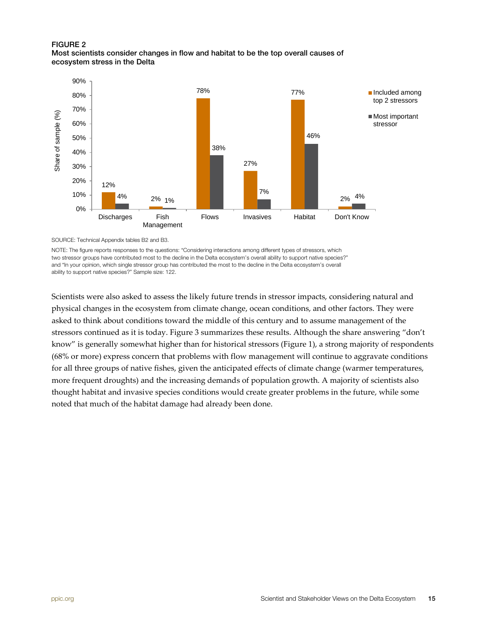#### <span id="page-14-0"></span>FIGURE 2 Most scientists consider changes in flow and habitat to be the top overall causes of ecosystem stress in the Delta



SOURCE: Technical Appendix tables B2 and B3.

NOTE: The figure reports responses to the questions: "Considering interactions among different types of stressors, which two stressor groups have contributed most to the decline in the Delta ecosystem's overall ability to support native species?" and "In your opinion, which single stressor group has contributed the most to the decline in the Delta ecosystem's overall ability to support native species?" Sample size: 122.

Scientists were also asked to assess the likely future trends in stressor impacts, considering natural and physical changes in the ecosystem from climate change, ocean conditions, and other factors. They were asked to think about conditions toward the middle of this century and to assume management of the stressors continued as it is today. Figure 3 summarizes these results. Although the share answering "don't know" is generally somewhat higher than for historical stressors (Figure 1), a strong majority of respondents (68% or more) express concern that problems with flow management will continue to aggravate conditions for all three groups of native fishes, given the anticipated effects of climate change (warmer temperatures, more frequent droughts) and the increasing demands of population growth. A majority of scientists also thought habitat and invasive species conditions would create greater problems in the future, while some noted that much of the habitat damage had already been done.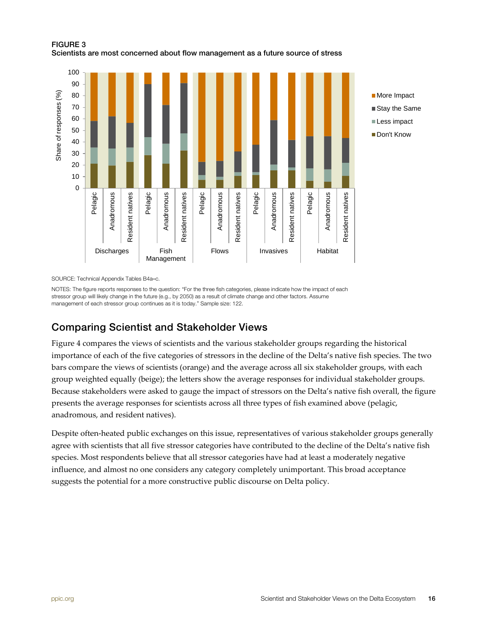<span id="page-15-1"></span>FIGURE 3 Scientists are most concerned about flow management as a future source of stress



SOURCE: Technical Appendix Tables B4a–c.

NOTES: The figure reports responses to the question: "For the three fish categories, please indicate how the impact of each stressor group will likely change in the future (e.g., by 2050) as a result of climate change and other factors. Assume management of each stressor group continues as it is today." Sample size: 122.

### <span id="page-15-0"></span>Comparing Scientist and Stakeholder Views

Figure 4 compares the views of scientists and the various stakeholder groups regarding the historical importance of each of the five categories of stressors in the decline of the Delta's native fish species. The two bars compare the views of scientists (orange) and the average across all six stakeholder groups, with each group weighted equally (beige); the letters show the average responses for individual stakeholder groups. Because stakeholders were asked to gauge the impact of stressors on the Delta's native fish overall, the figure presents the average responses for scientists across all three types of fish examined above (pelagic, anadromous, and resident natives).

Despite often-heated public exchanges on this issue, representatives of various stakeholder groups generally agree with scientists that all five stressor categories have contributed to the decline of the Delta's native fish species. Most respondents believe that all stressor categories have had at least a moderately negative influence, and almost no one considers any category completely unimportant. This broad acceptance suggests the potential for a more constructive public discourse on Delta policy.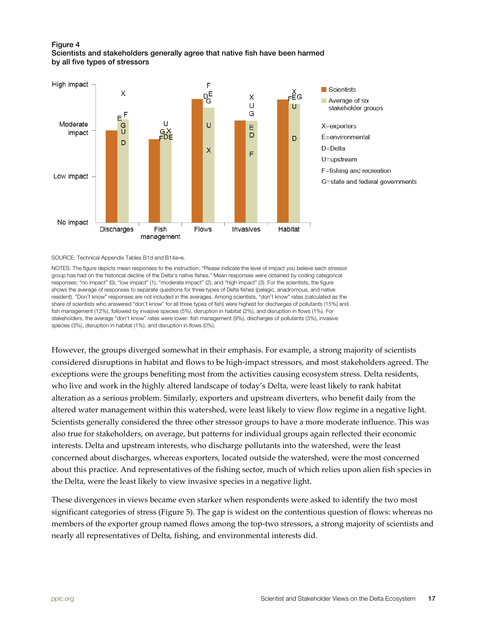#### <span id="page-16-0"></span>Figure 4 Scientists and stakeholders generally agree that native fish have been harmed by all five types of stressors



SOURCE: Technical Appendix Tables B1d and B14a–e.

NOTES: The figure depicts mean responses to the instruction: "Please indicate the level of impact you believe each stressor group has had on the historical decline of the Delta's native fishes." Mean responses were obtained by coding categorical responses: "no impact" (0), "low impact" (1), "moderate impact" (2), and "high impact" (3). For the scientists, the figure shows the average of responses to separate questions for three types of Delta fishes (pelagic, anadromous, and native resident). "Don't know" responses are not included in the averages. Among scientists, "don't know" rates (calculated as the share of scientists who answered "don't know" for all three types of fish) were highest for discharges of pollutants (15%) and fish management (12%), followed by invasive species (5%), disruption in habitat (2%), and disruption in flows (1%). For stakeholders, the average "don't know" rates were lower: fish management (9%), discharges of pollutants (3%), invasive species (3%), disruption in habitat (1%), and disruption in flows (0%).

However, the groups diverged somewhat in their emphasis. For example, a strong majority of scientists considered disruptions in habitat and flows to be high-impact stressors, and most stakeholders agreed. The exceptions were the groups benefiting most from the activities causing ecosystem stress. Delta residents, who live and work in the highly altered landscape of today's Delta, were least likely to rank habitat alteration as a serious problem. Similarly, exporters and upstream diverters, who benefit daily from the altered water management within this watershed, were least likely to view flow regime in a negative light. Scientists generally considered the three other stressor groups to have a more moderate influence. This was also true for stakeholders, on average, but patterns for individual groups again reflected their economic interests. Delta and upstream interests, who discharge pollutants into the watershed, were the least concerned about discharges, whereas exporters, located outside the watershed, were the most concerned about this practice. And representatives of the fishing sector, much of which relies upon alien fish species in the Delta, were the least likely to view invasive species in a negative light.

These divergences in views became even starker when respondents were asked to identify the two most significant categories of stress (Figure 5). The gap is widest on the contentious question of flows: whereas no members of the exporter group named flows among the top-two stressors, a strong majority of scientists and nearly all representatives of Delta, fishing, and environmental interests did.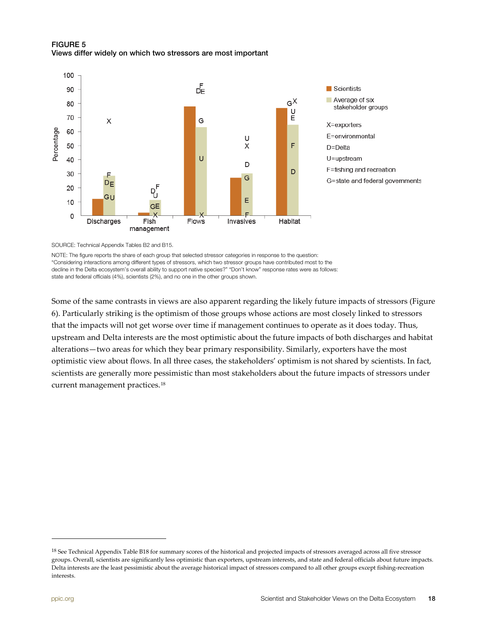### <span id="page-17-0"></span>FIGURE 5 Views differ widely on which two stressors are most important



SOURCE: Technical Appendix Tables B2 and B15.

NOTE: The figure reports the share of each group that selected stressor categories in response to the question: "Considering interactions among different types of stressors, which two stressor groups have contributed most to the decline in the Delta ecosystem's overall ability to support native species?" "Don't know" response rates were as follows: state and federal officials (4%), scientists (2%), and no one in the other groups shown.

Some of the same contrasts in views are also apparent regarding the likely future impacts of stressors (Figure 6). Particularly striking is the optimism of those groups whose actions are most closely linked to stressors that the impacts will not get worse over time if management continues to operate as it does today. Thus, upstream and Delta interests are the most optimistic about the future impacts of both discharges and habitat alterations—two areas for which they bear primary responsibility. Similarly, exporters have the most optimistic view about flows. In all three cases, the stakeholders' optimism is not shared by scientists. In fact, scientists are generally more pessimistic than most stakeholders about the future impacts of stressors under current management practices.[18](#page-17-1) 

<span id="page-17-1"></span><sup>&</sup>lt;sup>18</sup> See Technical Appendix Table B18 for summary scores of the historical and projected impacts of stressors averaged across all five stressor groups. Overall, scientists are significantly less optimistic than exporters, upstream interests, and state and federal officials about future impacts. Delta interests are the least pessimistic about the average historical impact of stressors compared to all other groups except fishing-recreation interests.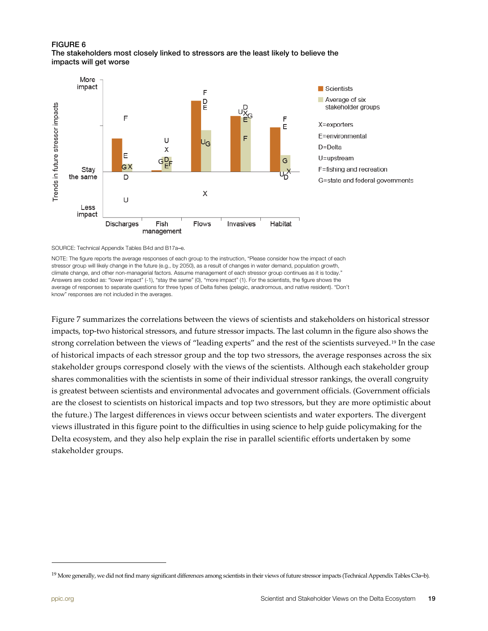#### <span id="page-18-0"></span>FIGURE 6 The stakeholders most closely linked to stressors are the least likely to believe the impacts will get worse



SOURCE: Technical Appendix Tables B4d and B17a–e.

NOTE: The figure reports the average responses of each group to the instruction, "Please consider how the impact of each stressor group will likely change in the future (e.g., by 2050), as a result of changes in water demand, population growth, climate change, and other non-managerial factors. Assume management of each stressor group continues as it is today." Answers are coded as: "lower impact" (-1), "stay the same" (0), "more impact" (1). For the scientists, the figure shows the average of responses to separate questions for three types of Delta fishes (pelagic, anadromous, and native resident). "Don't know" responses are not included in the averages.

Figure 7 summarizes the correlations between the views of scientists and stakeholders on historical stressor impacts, top-two historical stressors, and future stressor impacts. The last column in the figure also shows the strong correlation between the views of "leading experts" and the rest of the scientists surveyed.<sup>[19](#page-18-1)</sup> In the case of historical impacts of each stressor group and the top two stressors, the average responses across the six stakeholder groups correspond closely with the views of the scientists. Although each stakeholder group shares commonalities with the scientists in some of their individual stressor rankings, the overall congruity is greatest between scientists and environmental advocates and government officials. (Government officials are the closest to scientists on historical impacts and top two stressors, but they are more optimistic about the future.) The largest differences in views occur between scientists and water exporters. The divergent views illustrated in this figure point to the difficulties in using science to help guide policymaking for the Delta ecosystem, and they also help explain the rise in parallel scientific efforts undertaken by some stakeholder groups.

<span id="page-18-1"></span><sup>&</sup>lt;sup>19</sup> More generally, we did not find many significant differences among scientists in their views of future stressor impacts (Technical Appendix Tables C3a-b).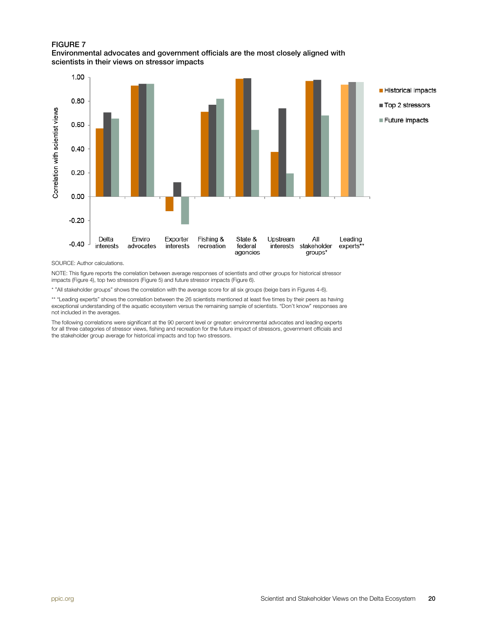### <span id="page-19-0"></span>FIGURE 7

### Environmental advocates and government officials are the most closely aligned with scientists in their views on stressor impacts



SOURCE: Author calculations.

NOTE: This figure reports the correlation between average responses of scientists and other groups for historical stressor impacts (Figure 4), top two stressors (Figure 5) and future stressor impacts (Figure 6).

\* "All stakeholder groups" shows the correlation with the average score for all six groups (beige bars in Figures 4-6).

\*\* "Leading experts" shows the correlation between the 26 scientists mentioned at least five times by their peers as having exceptional understanding of the aquatic ecosystem versus the remaining sample of scientists. "Don't know" responses are not included in the averages.

The following correlations were significant at the 90 percent level or greater: environmental advocates and leading experts for all three categories of stressor views, fishing and recreation for the future impact of stressors, government officials and the stakeholder group average for historical impacts and top two stressors.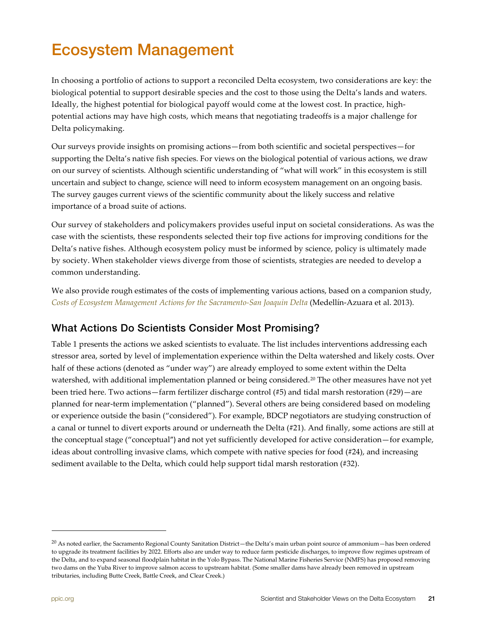# <span id="page-20-0"></span>Ecosystem Management

In choosing a portfolio of actions to support a reconciled Delta ecosystem, two considerations are key: the biological potential to support desirable species and the cost to those using the Delta's lands and waters. Ideally, the highest potential for biological payoff would come at the lowest cost. In practice, highpotential actions may have high costs, which means that negotiating tradeoffs is a major challenge for Delta policymaking.

Our surveys provide insights on promising actions—from both scientific and societal perspectives—for supporting the Delta's native fish species. For views on the biological potential of various actions, we draw on our survey of scientists. Although scientific understanding of "what will work" in this ecosystem is still uncertain and subject to change, science will need to inform ecosystem management on an ongoing basis. The survey gauges current views of the scientific community about the likely success and relative importance of a broad suite of actions.

Our survey of stakeholders and policymakers provides useful input on societal considerations. As was the case with the scientists, these respondents selected their top five actions for improving conditions for the Delta's native fishes. Although ecosystem policy must be informed by science, policy is ultimately made by society. When stakeholder views diverge from those of scientists, strategies are needed to develop a common understanding.

We also provide rough estimates of the costs of implementing various actions, based on a companion study, *Costs of Ecosystem Management Actions [for the Sacramento-San Joaquin Delta](http://www.ppic.org/main/publication.asp?i=1052)* (Medellín-Azuara et al. 2013).

## <span id="page-20-1"></span>What Actions Do Scientists Consider Most Promising?

Table 1 presents the actions we asked scientists to evaluate. The list includes interventions addressing each stressor area, sorted by level of implementation experience within the Delta watershed and likely costs. Over half of these actions (denoted as "under way") are already employed to some extent within the Delta watershed, with additional implementation planned or being considered.<sup>[20](#page-20-2)</sup> The other measures have not yet been tried here. Two actions—farm fertilizer discharge control (#5) and tidal marsh restoration (#29)—are planned for near-term implementation ("planned"). Several others are being considered based on modeling or experience outside the basin ("considered"). For example, BDCP negotiators are studying construction of a canal or tunnel to divert exports around or underneath the Delta (#21). And finally, some actions are still at the conceptual stage ("conceptual") and not yet sufficiently developed for active consideration—for example, ideas about controlling invasive clams, which compete with native species for food (#24), and increasing sediment available to the Delta, which could help support tidal marsh restoration (#32).

<span id="page-20-2"></span><sup>20</sup> As noted earlier, the Sacramento Regional County Sanitation District—the Delta's main urban point source of ammonium—has been ordered to upgrade its treatment facilities by 2022. Efforts also are under way to reduce farm pesticide discharges, to improve flow regimes upstream of the Delta, and to expand seasonal floodplain habitat in the Yolo Bypass. The National Marine Fisheries Service (NMFS) has proposed removing two dams on the Yuba River to improve salmon access to upstream habitat. (Some smaller dams have already been removed in upstream tributaries, including Butte Creek, Battle Creek, and Clear Creek.)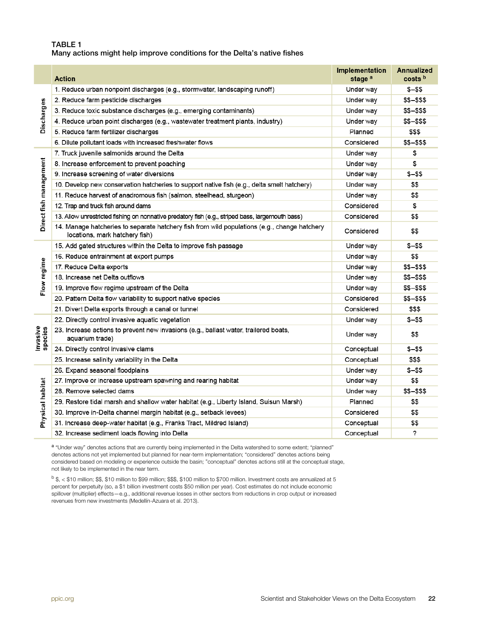#### <span id="page-21-1"></span>TABLE 1 Many actions might help improve conditions for the Delta's native fishes

|                        | <b>Action</b>                                                                                                                  | Implementation<br>stage <sup>a</sup> | <b>Annualized</b><br>costs b |
|------------------------|--------------------------------------------------------------------------------------------------------------------------------|--------------------------------------|------------------------------|
| Discharges             | 1. Reduce urban nonpoint discharges (e.g., stormwater, landscaping runoff)                                                     | Under way                            | $$ - $$                      |
|                        | 2. Reduce farm pesticide discharges                                                                                            | Under way                            | \$\$-\$\$\$                  |
|                        | 3. Reduce toxic substance discharges (e.g., emerging contaminants)                                                             | Under way                            | \$\$-\$\$\$                  |
|                        | 4. Reduce urban point discharges (e.g., wastewater treatment plants, industry)                                                 | Under way                            | \$\$-\$\$\$                  |
|                        | 5. Reduce farm fertilizer discharges                                                                                           | Planned                              | \$\$\$                       |
|                        | 6. Dilute pollutant loads with increased freshwater flows                                                                      | Considered                           | \$\$-\$\$\$                  |
|                        | 7. Truck juvenile salmonids around the Delta                                                                                   | Under way                            | \$                           |
|                        | 8. Increase enforcement to prevent poaching                                                                                    | Under way                            | \$                           |
|                        | 9. Increase screening of water diversions                                                                                      | Under way                            | $$ - $$                      |
|                        | 10. Develop new conservation hatcheries to support native fish (e.g., delta smelt hatchery)                                    | Under way                            | \$\$                         |
|                        | 11. Reduce harvest of anadromous fish (salmon, steelhead, sturgeon)                                                            | Under way                            | \$\$                         |
| Direct fish management | 12. Trap and truck fish around dams                                                                                            | Considered                           | \$                           |
|                        | 13. Allow unrestricted fishing on nonnative predatory fish (e.g., striped bass, largemouth bass)                               | Considered                           | \$\$                         |
|                        | 14. Manage hatcheries to separate hatchery fish from wild populations (e.g., change hatchery<br>locations, mark hatchery fish) | Considered                           | \$\$                         |
|                        | 15. Add gated structures within the Delta to improve fish passage                                                              | Under way                            | $$ - $$                      |
|                        | 16. Reduce entrainment at export pumps                                                                                         | Under way                            | \$\$                         |
| Flow regime            | 17. Reduce Delta exports                                                                                                       | Under way                            | \$\$-\$\$\$                  |
|                        | 18. Increase net Delta outflows                                                                                                | Under way                            | \$\$-\$\$\$                  |
|                        | 19. Improve flow regime upstream of the Delta                                                                                  | Under way                            | \$\$-\$\$\$                  |
|                        | 20. Pattern Delta flow variability to support native species                                                                   | Considered                           | \$\$-\$\$\$                  |
|                        | 21. Divert Delta exports through a canal or tunnel                                                                             | Considered                           | \$\$\$                       |
|                        | 22. Directly control invasive aquatic vegetation                                                                               | Under way                            | \$-\$\$                      |
| Invasive<br>species    | 23. Increase actions to prevent new invasions (e.g., ballast water, trailered boats,<br>aquarium trade)                        | Under way                            | \$\$                         |
|                        | 24. Directly control invasive clams                                                                                            | Conceptual                           | $$ - $$                      |
|                        | 25. Increase salinity variability in the Delta                                                                                 | Conceptual                           | \$\$\$                       |
|                        | 26. Expand seasonal floodplains                                                                                                | Under way                            | \$-\$\$                      |
| Physical habitat       | 27. Improve or increase upstream spawning and rearing habitat                                                                  | Under way                            | \$\$                         |
|                        | 28. Remove selected dams                                                                                                       | Under way                            | $$5 - $55$                   |
|                        | 29. Restore tidal marsh and shallow water habitat (e.g., Liberty Island, Suisun Marsh)                                         | Planned                              | \$\$                         |
|                        | 30. Improve in-Delta channel margin habitat (e.g., setback levees)                                                             | Considered                           | \$\$                         |
|                        | 31. Increase deep-water habitat (e.g., Franks Tract, Mildred Island)                                                           | Conceptual                           | \$\$                         |
|                        | 32. Increase sediment loads flowing into Delta                                                                                 | Conceptual                           | ?                            |

a "Under way" denotes actions that are currently being implemented in the Delta watershed to some extent; "planned" denotes actions not yet implemented but planned for near-term implementation; "considered" denotes actions being considered based on modeling or experience outside the basin; "conceptual" denotes actions still at the conceptual stage, not likely to be implemented in the near term.

<span id="page-21-0"></span> $b$  \$, < \$10 million; \$\$, \$10 million to \$99 million; \$\$\$, \$100 million to \$700 million. Investment costs are annualized at 5 percent for perpetuity (so, a \$1 billion investment costs \$50 million per year). Cost estimates do not include economic spillover (multiplier) effects—e.g., additional revenue losses in other sectors from reductions in crop output or increased revenues from new investments (Medellín-Azuara et al. 2013).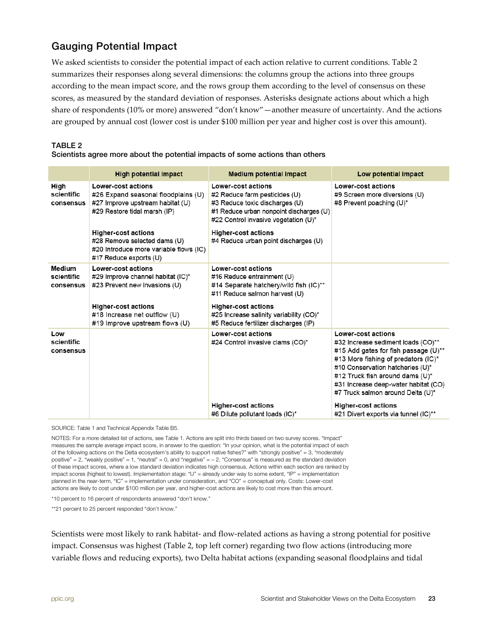## Gauging Potential Impact

We asked scientists to consider the potential impact of each action relative to current conditions. Table 2 summarizes their responses along several dimensions: the columns group the actions into three groups according to the mean impact score, and the rows group them according to the level of consensus on these scores, as measured by the standard deviation of responses. Asterisks designate actions about which a high share of respondents (10% or more) answered "don't know"—another measure of uncertainty. And the actions are grouped by annual cost (lower cost is under \$100 million per year and higher cost is over this amount).

### <span id="page-22-0"></span>TABLE 2

### Scientists agree more about the potential impacts of some actions than others

|                                   | <b>High potential impact</b>                                                                                                   | <b>Medium potential impact</b>                                                                                                                                                  | Low potential impact                                                                                                                                                                                                                                                                               |
|-----------------------------------|--------------------------------------------------------------------------------------------------------------------------------|---------------------------------------------------------------------------------------------------------------------------------------------------------------------------------|----------------------------------------------------------------------------------------------------------------------------------------------------------------------------------------------------------------------------------------------------------------------------------------------------|
| High<br>scientific<br>consensus   | Lower-cost actions<br>#26 Expand seasonal floodplains (U)<br>#27 Improve upstream habitat (U)<br>#29 Restore tidal marsh (IP)  | <b>Lower-cost actions</b><br>#2 Reduce farm pesticides (U)<br>#3 Reduce toxic discharges (U)<br>#1 Reduce urban nonpoint discharges (U)<br>#22 Control invasive vegetation (U)* | <b>Lower-cost actions</b><br>#9 Screen more diversions (U)<br>#8 Prevent poaching (U)*                                                                                                                                                                                                             |
|                                   | <b>Higher-cost actions</b><br>#28 Remove selected dams (U)<br>#20 Introduce more variable flows (IC)<br>#17 Reduce exports (U) | <b>Higher-cost actions</b><br>#4 Reduce urban point discharges (U)                                                                                                              |                                                                                                                                                                                                                                                                                                    |
| Medium<br>scientific<br>consensus | Lower-cost actions<br>#29 Improve channel habitat (IC)*<br>#23 Prevent new invasions (U)                                       | Lower-cost actions<br>#16 Reduce entrainment (U)<br>#14 Separate hatchery/wild fish (IC)**<br>#11 Reduce salmon harvest (U)                                                     |                                                                                                                                                                                                                                                                                                    |
|                                   | <b>Higher-cost actions</b><br>#18 Increase net outflow (U)<br>#19 Improve upstream flows (U)                                   | <b>Higher-cost actions</b><br>#25 Increase salinity variability (CO)*<br>#5 Reduce fertilizer discharges (IP)                                                                   |                                                                                                                                                                                                                                                                                                    |
| Low<br>scientific<br>consensus    |                                                                                                                                | <b>Lower-cost actions</b><br>#24 Control invasive clams (CO)*                                                                                                                   | <b>Lower-cost actions</b><br>#32 Increase sediment loads (CO)**<br>#15 Add gates for fish passage (U)**<br>#13 More fishing of predators (IC)*<br>#10 Conservation hatcheries (U)*<br>#12 Truck fish around dams (U)*<br>#31 Increase deep-water habitat (CO)<br>#7 Truck salmon around Delta (U)* |
|                                   |                                                                                                                                | <b>Higher-cost actions</b><br>#6 Dilute pollutant loads (IC)*                                                                                                                   | <b>Higher-cost actions</b><br>#21 Divert exports via tunnel (IC)**                                                                                                                                                                                                                                 |

SOURCE: Table 1 and Technical Appendix Table B5.

NOTES: For a more detailed list of actions, see Table 1. Actions are split into thirds based on two survey scores. "Impact" measures the sample average impact score, in answer to the question: "In your opinion, what is the potential impact of each of the following actions on the Delta ecosystem's ability to support native fishes?" with "strongly positive" = 3, "moderately positive" = 2, "weakly positive" = 1, "neutral" = 0, and "negative" =  $-$  2. "Consensus" is measured as the standard deviation of these impact scores, where a low standard deviation indicates high consensus. Actions within each section are ranked by impact scores (highest to lowest). Implementation stage: "U" = already under way to some extent, "IP" = implementation planned in the near-term, "IC" = implementation under consideration, and "CO" = conceptual only. Costs: Lower-cost actions are likely to cost under \$100 million per year, and higher-cost actions are likely to cost more than this amount.

\*10 percent to 16 percent of respondents answered "don't know."

\*\*21 percent to 25 percent responded "don't know."

Scientists were most likely to rank habitat- and flow-related actions as having a strong potential for positive impact. Consensus was highest (Table 2, top left corner) regarding two flow actions (introducing more variable flows and reducing exports), two Delta habitat actions (expanding seasonal floodplains and tidal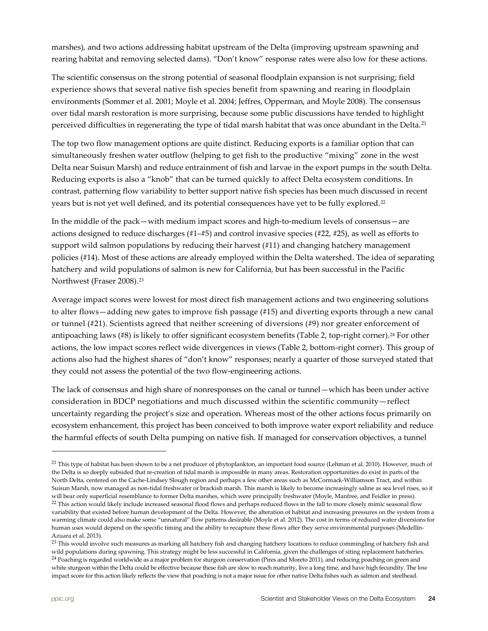marshes), and two actions addressing habitat upstream of the Delta (improving upstream spawning and rearing habitat and removing selected dams). "Don't know" response rates were also low for these actions.

The scientific consensus on the strong potential of seasonal floodplain expansion is not surprising; field experience shows that several native fish species benefit from spawning and rearing in floodplain environments (Sommer et al. 2001; Moyle et al. 2004; Jeffres, Opperman, and Moyle 2008). The consensus over tidal marsh restoration is more surprising, because some public discussions have tended to highlight perceived difficulties in regenerating the type of tidal marsh habitat that was once abundant in the Delta.[21](#page-23-0)

The top two flow management options are quite distinct. Reducing exports is a familiar option that can simultaneously freshen water outflow (helping to get fish to the productive "mixing" zone in the west Delta near Suisun Marsh) and reduce entrainment of fish and larvae in the export pumps in the south Delta. Reducing exports is also a "knob" that can be turned quickly to affect Delta ecosystem conditions. In contrast, patterning flow variability to better support native fish species has been much discussed in recent years but is not yet well defined, and its potential consequences have yet to be fully explored.<sup>22</sup>

In the middle of the pack—with medium impact scores and high-to-medium levels of consensus—are actions designed to reduce discharges (#1–#5) and control invasive species (#22, #25), as well as efforts to support wild salmon populations by reducing their harvest (#11) and changing hatchery management policies (#14). Most of these actions are already employed within the Delta watershed. The idea of separating hatchery and wild populations of salmon is new for California, but has been successful in the Pacific Northwest (Fraser 2008).[23](#page-23-2)

Average impact scores were lowest for most direct fish management actions and two engineering solutions to alter flows—adding new gates to improve fish passage (#15) and diverting exports through a new canal or tunnel (#21). Scientists agreed that neither screening of diversions (#9) nor greater enforcement of antipoaching laws  $(\#8)$  is likely to offer significant ecosystem benefits (Table 2, top-right corner).<sup>[24](#page-23-3)</sup> For other actions, the low impact scores reflect wide divergences in views (Table 2, bottom-right corner). This group of actions also had the highest shares of "don't know" responses; nearly a quarter of those surveyed stated that they could not assess the potential of the two flow-engineering actions.

The lack of consensus and high share of nonresponses on the canal or tunnel—which has been under active consideration in BDCP negotiations and much discussed within the scientific community—reflect uncertainty regarding the project's size and operation. Whereas most of the other actions focus primarily on ecosystem enhancement, this project has been conceived to both improve water export reliability and reduce the harmful effects of south Delta pumping on native fish. If managed for conservation objectives, a tunnel

<span id="page-23-1"></span><span id="page-23-0"></span><sup>&</sup>lt;sup>21</sup> This type of habitat has been shown to be a net producer of phytoplankton, an important food source (Lehman et al. 2010). However, much of the Delta is so deeply subsided that re-creation of tidal marsh is impossible in many areas. Restoration opportunities do exist in parts of the North Delta, centered on the Cache-Lindsey Slough region and perhaps a few other areas such as McCormack-Williamson Tract, and within Suisun Marsh, now managed as non-tidal freshwater or brackish marsh. This marsh is likely to become increasingly saline as sea level rises, so it will bear only superficial resemblance to former Delta marshes, which were principally freshwater (Moyle, Manfree, and Feidler in press). <sup>22</sup> This action would likely include increased seasonal flood flows and perhaps reduced flows in the fall to more closely mimic seasonal flow variability that existed before human development of the Delta. However, the alteration of habitat and increasing pressures on the system from a warming climate could also make some "unnatural" flow patterns desirable (Moyle et al. 2012). The cost in terms of reduced water diversions for human uses would depend on the specific timing and the ability to recapture these flows after they serve environmental purposes (Medellín-Azuara et al. 2013).

<span id="page-23-3"></span><span id="page-23-2"></span><sup>&</sup>lt;sup>23</sup> This would involve such measures as marking all hatchery fish and changing hatchery locations to reduce commingling of hatchery fish and wild populations during spawning. This strategy might be less successful in California, given the challenges of siting replacement hatcheries. <sup>24</sup> Poaching is regarded worldwide as a major problem for sturgeon conservation (Pires and Moreto 2011), and reducing poaching on green and white sturgeon within the Delta could be effective because these fish are slow to reach maturity, live a long time, and have high fecundity. The low impact score for this action likely reflects the view that poaching is not a major issue for other native Delta fishes such as salmon and steelhead.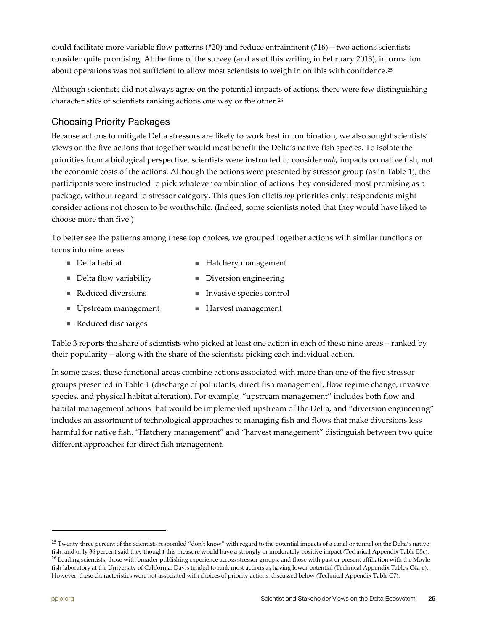could facilitate more variable flow patterns (#20) and reduce entrainment (#16)—two actions scientists consider quite promising. At the time of the survey (and as of this writing in February 2013), information about operations was not sufficient to allow most scientists to weigh in on this with confidence.<sup>[25](#page-24-0)</sup>

Although scientists did not always agree on the potential impacts of actions, there were few distinguishing characteristics of scientists ranking actions one way or the other.<sup>[26](#page-24-1)</sup>

### Choosing Priority Packages

Because actions to mitigate Delta stressors are likely to work best in combination, we also sought scientists' views on the five actions that together would most benefit the Delta's native fish species. To isolate the priorities from a biological perspective, scientists were instructed to consider *only* impacts on native fish, not the economic costs of the actions. Although the actions were presented by stressor group (as in Table 1), the participants were instructed to pick whatever combination of actions they considered most promising as a package, without regard to stressor category. This question elicits *top* priorities only; respondents might consider actions not chosen to be worthwhile. (Indeed, some scientists noted that they would have liked to choose more than five.)

To better see the patterns among these top choices, we grouped together actions with similar functions or focus into nine areas:

- Delta habitat  **Hatchery management**
- Delta flow variability **Diversion engineering**
- Reduced diversions **Invasive species control**
- Upstream management Harvest management
- Reduced discharges

Table 3 reports the share of scientists who picked at least one action in each of these nine areas—ranked by their popularity—along with the share of the scientists picking each individual action.

In some cases, these functional areas combine actions associated with more than one of the five stressor groups presented in Table 1 (discharge of pollutants, direct fish management, flow regime change, invasive species, and physical habitat alteration). For example, "upstream management" includes both flow and habitat management actions that would be implemented upstream of the Delta, and "diversion engineering" includes an assortment of technological approaches to managing fish and flows that make diversions less harmful for native fish. "Hatchery management" and "harvest management" distinguish between two quite different approaches for direct fish management.

<span id="page-24-1"></span><span id="page-24-0"></span><sup>&</sup>lt;sup>25</sup> Twenty-three percent of the scientists responded "don't know" with regard to the potential impacts of a canal or tunnel on the Delta's native fish, and only 36 percent said they thought this measure would have a strongly or moderately positive impact (Technical Appendix Table B5c). <sup>26</sup> Leading scientists, those with broader publishing experience across stressor groups, and those with past or present affiliation with the Moyle fish laboratory at the University of California, Davis tended to rank most actions as having lower potential (Technical Appendix Tables C4a-e). However, these characteristics were not associated with choices of priority actions, discussed below (Technical Appendix Table C7).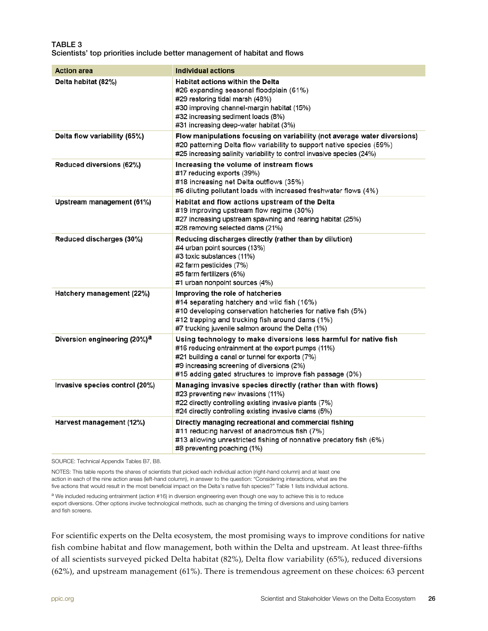### <span id="page-25-0"></span>TABLE 3 Scientists' top priorities include better management of habitat and flows

| <b>Action area</b>                       | <b>Individual actions</b>                                                                                                                                                                                                                                                           |
|------------------------------------------|-------------------------------------------------------------------------------------------------------------------------------------------------------------------------------------------------------------------------------------------------------------------------------------|
| Delta habitat (82%)                      | <b>Habitat actions within the Delta</b><br>#26 expanding seasonal floodplain (61%)<br>#29 restoring tidal marsh (48%)<br>#30 improving channel-margin habitat (15%)<br>#32 increasing sediment loads (8%)<br>#31 increasing deep-water habitat (3%)                                 |
| Delta flow variability (65%)             | Flow manipulations focusing on variability (not average water diversions)<br>#20 patterning Delta flow variability to support native species (59%)<br>#25 increasing salinity variability to control invasive species (24%)                                                         |
| Reduced diversions (62%)                 | Increasing the volume of instream flows<br>#17 reducing exports (39%)<br>#18 increasing net Delta outflows (35%)<br>#6 diluting pollutant loads with increased freshwater flows (4%)                                                                                                |
| Upstream management (61%)                | Habitat and flow actions upstream of the Delta<br>#19 improving upstream flow regime (30%)<br>#27 increasing upstream spawning and rearing habitat (25%)<br>#28 removing selected dams (21%)                                                                                        |
| Reduced discharges (30%)                 | Reducing discharges directly (rather than by dilution)<br>#4 urban point sources (13%)<br>#3 toxic substances (11%)<br>#2 farm pesticides (7%)<br>#5 farm fertilizers (6%)<br>#1 urban nonpoint sources (4%)                                                                        |
| Hatchery management (22%)                | Improving the role of hatcheries<br>#14 separating hatchery and wild fish (16%)<br>#10 developing conservation hatcheries for native fish (5%)<br>#12 trapping and trucking fish around dams (1%)<br>#7 trucking juvenile salmon around the Delta (1%)                              |
| Diversion engineering (20%) <sup>a</sup> | Using technology to make diversions less harmful for native fish<br>#16 reducing entrainment at the export pumps (11%)<br>#21 building a canal or tunnel for exports (7%)<br>#9 increasing screening of diversions (2%)<br>#15 adding gated structures to improve fish passage (0%) |
| Invasive species control (20%)           | Managing invasive species directly (rather than with flows)<br>#23 preventing new invasions (11%)<br>#22 directly controlling existing invasive plants (7%)<br>#24 directly controlling existing invasive clams (5%)                                                                |
| Harvest management (12%)                 | Directly managing recreational and commercial fishing<br>#11 reducing harvest of anadromous fish (7%)<br>#13 allowing unrestricted fishing of nonnative predatory fish (6%)<br>#8 preventing poaching (1%)                                                                          |

SOURCE: Technical Appendix Tables B7, B8.

NOTES: This table reports the shares of scientists that picked each individual action (right-hand column) and at least one action in each of the nine action areas (left-hand column), in answer to the question: "Considering interactions, what are the five actions that would result in the most beneficial impact on the Delta's native fish species?" Table 1 lists individual actions.

a We included reducing entrainment (action #16) in diversion engineering even though one way to achieve this is to reduce export diversions. Other options involve technological methods, such as changing the timing of diversions and using barriers and fish screens.

For scientific experts on the Delta ecosystem, the most promising ways to improve conditions for native fish combine habitat and flow management, both within the Delta and upstream. At least three-fifths of all scientists surveyed picked Delta habitat (82%), Delta flow variability (65%), reduced diversions (62%), and upstream management (61%). There is tremendous agreement on these choices: 63 percent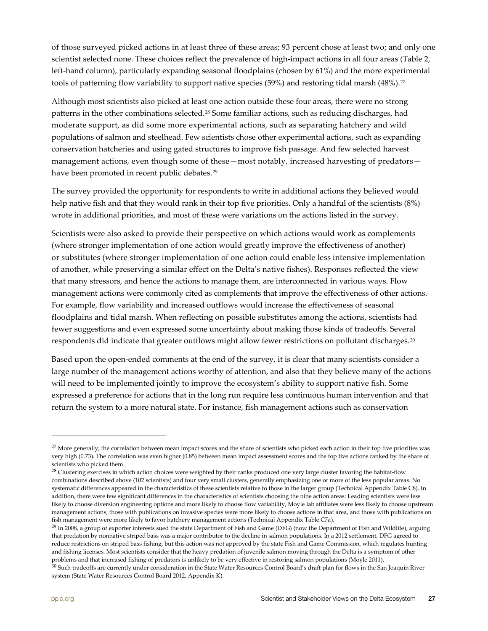of those surveyed picked actions in at least three of these areas; 93 percent chose at least two; and only one scientist selected none. These choices reflect the prevalence of high-impact actions in all four areas (Table 2, left-hand column), particularly expanding seasonal floodplains (chosen by 61%) and the more experimental tools of patterning flow variability to support native species (59%) and restoring tidal marsh (48%).<sup>[27](#page-26-0)</sup>

Although most scientists also picked at least one action outside these four areas, there were no strong patterns in the other combinations selected.<sup>[28](#page-26-1)</sup> Some familiar actions, such as reducing discharges, had moderate support, as did some more experimental actions, such as separating hatchery and wild populations of salmon and steelhead. Few scientists chose other experimental actions, such as expanding conservation hatcheries and using gated structures to improve fish passage. And few selected harvest management actions, even though some of these—most notably, increased harvesting of predators— have been promoted in recent public debates.<sup>[29](#page-26-2)</sup>

The survey provided the opportunity for respondents to write in additional actions they believed would help native fish and that they would rank in their top five priorities. Only a handful of the scientists (8%) wrote in additional priorities, and most of these were variations on the actions listed in the survey.

Scientists were also asked to provide their perspective on which actions would work as complements (where stronger implementation of one action would greatly improve the effectiveness of another) or substitutes (where stronger implementation of one action could enable less intensive implementation of another, while preserving a similar effect on the Delta's native fishes). Responses reflected the view that many stressors, and hence the actions to manage them, are interconnected in various ways. Flow management actions were commonly cited as complements that improve the effectiveness of other actions. For example, flow variability and increased outflows would increase the effectiveness of seasonal floodplains and tidal marsh. When reflecting on possible substitutes among the actions, scientists had fewer suggestions and even expressed some uncertainty about making those kinds of tradeoffs. Several respondents did indicate that greater outflows might allow fewer restrictions on pollutant discharges.<sup>[30](#page-26-3)</sup>

Based upon the open-ended comments at the end of the survey, it is clear that many scientists consider a large number of the management actions worthy of attention, and also that they believe many of the actions will need to be implemented jointly to improve the ecosystem's ability to support native fish. Some expressed a preference for actions that in the long run require less continuous human intervention and that return the system to a more natural state. For instance, fish management actions such as conservation

<span id="page-26-0"></span><sup>&</sup>lt;sup>27</sup> More generally, the correlation between mean impact scores and the share of scientists who picked each action in their top five priorities was very high (0.73). The correlation was even higher (0.85) between mean impact assessment scores and the top five actions ranked by the share of scientists who picked them.

<span id="page-26-1"></span><sup>&</sup>lt;sup>28</sup> Clustering exercises in which action choices were weighted by their ranks produced one very large cluster favoring the habitat-flow combinations described above (102 scientists) and four very small clusters, generally emphasizing one or more of the less popular areas. No systematic differences appeared in the characteristics of these scientists relative to those in the larger group (Technical Appendix Table C8). In addition, there were few significant differences in the characteristics of scientists choosing the nine action areas: Leading scientists were less likely to choose diversion engineering options and more likely to choose flow variability, Moyle lab affiliates were less likely to choose upstream management actions, those with publications on invasive species were more likely to choose actions in that area, and those with publications on fish management were more likely to favor hatchery management actions (Technical Appendix Table C7a).

<span id="page-26-2"></span> $^{29}$  In 2008, a group of exporter interests sued the state Department of Fish and Game (DFG) (now the Department of Fish and Wildlife), arguing that predation by nonnative striped bass was a major contributor to the decline in salmon populations. In a 2012 settlement, DFG agreed to reduce restrictions on striped bass fishing, but this action was not approved by the state Fish and Game Commission, which regulates hunting and fishing licenses. Most scientists consider that the heavy predation of juvenile salmon moving through the Delta is a symptom of other

<span id="page-26-3"></span>problems and that increased fishing of predators is unlikely to be very effective in restoring salmon populations (Moyle 2011).<br><sup>30</sup> Such tradeoffs are currently under consideration in the State Water Resources Control Boa system (State Water Resources Control Board 2012, Appendix K).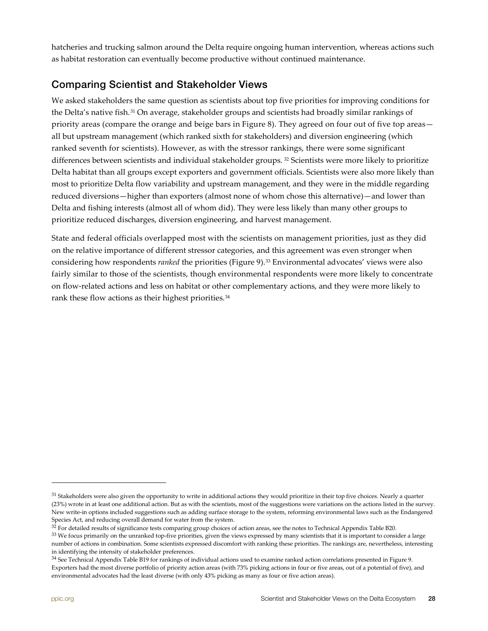hatcheries and trucking salmon around the Delta require ongoing human intervention, whereas actions such as habitat restoration can eventually become productive without continued maintenance.

## <span id="page-27-0"></span>Comparing Scientist and Stakeholder Views

We asked stakeholders the same question as scientists about top five priorities for improving conditions for the Delta's native fish.[31](#page-27-1) On average, stakeholder groups and scientists had broadly similar rankings of priority areas (compare the orange and beige bars in Figure 8). They agreed on four out of five top areas all but upstream management (which ranked sixth for stakeholders) and diversion engineering (which ranked seventh for scientists). However, as with the stressor rankings, there were some significant differences between scientists and individual stakeholder groups. [32](#page-27-2) Scientists were more likely to prioritize Delta habitat than all groups except exporters and government officials. Scientists were also more likely than most to prioritize Delta flow variability and upstream management, and they were in the middle regarding reduced diversions—higher than exporters (almost none of whom chose this alternative)—and lower than Delta and fishing interests (almost all of whom did). They were less likely than many other groups to prioritize reduced discharges, diversion engineering, and harvest management.

State and federal officials overlapped most with the scientists on management priorities, just as they did on the relative importance of different stressor categories, and this agreement was even stronger when considering how respondents *ranked* the priorities (Figure 9).[33](#page-27-3) Environmental advocates' views were also fairly similar to those of the scientists, though environmental respondents were more likely to concentrate on flow-related actions and less on habitat or other complementary actions, and they were more likely to rank these flow actions as their highest priorities.<sup>34</sup>

<span id="page-27-1"></span> $31$  Stakeholders were also given the opportunity to write in additional actions they would prioritize in their top five choices. Nearly a quarter (23%) wrote in at least one additional action. But as with the scientists, most of the suggestions were variations on the actions listed in the survey. New write-in options included suggestions such as adding surface storage to the system, reforming environmental laws such as the Endangered Species Act, and reducing overall demand for water from the system.

<span id="page-27-2"></span> $32$  For detailed results of significance tests comparing group choices of action areas, see the notes to Technical Appendix Table B20.

<span id="page-27-3"></span><sup>&</sup>lt;sup>33</sup> We focus primarily on the unranked top-five priorities, given the views expressed by many scientists that it is important to consider a large number of actions in combination. Some scientists expressed discomfort with ranking these priorities. The rankings are, nevertheless, interesting in identifying the intensity of stakeholder preferences.

<span id="page-27-4"></span><sup>&</sup>lt;sup>34</sup> See Technical Appendix Table B19 for rankings of individual actions used to examine ranked action correlations presented in Figure 9. Exporters had the most diverse portfolio of priority action areas (with 73% picking actions in four or five areas, out of a potential of five), and environmental advocates had the least diverse (with only 43% picking as many as four or five action areas).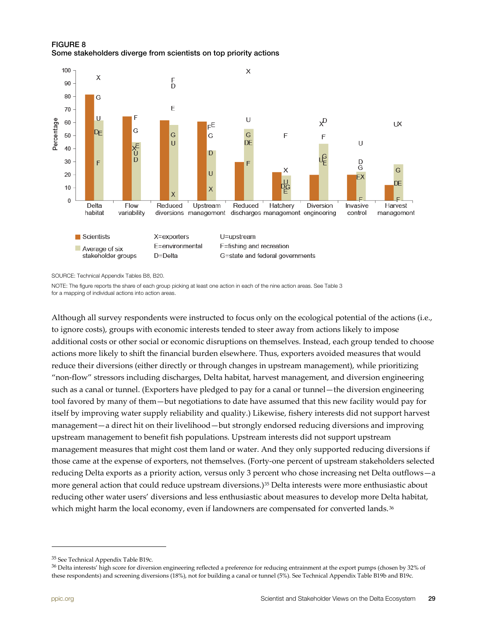### <span id="page-28-0"></span>FIGURE 8 Some stakeholders diverge from scientists on top priority actions



SOURCE: Technical Appendix Tables B8, B20.

NOTE: The figure reports the share of each group picking at least one action in each of the nine action areas. See Table 3 for a mapping of individual actions into action areas.

Although all survey respondents were instructed to focus only on the ecological potential of the actions (i.e., to ignore costs), groups with economic interests tended to steer away from actions likely to impose additional costs or other social or economic disruptions on themselves. Instead, each group tended to choose actions more likely to shift the financial burden elsewhere. Thus, exporters avoided measures that would reduce their diversions (either directly or through changes in upstream management), while prioritizing "non-flow" stressors including discharges, Delta habitat, harvest management, and diversion engineering such as a canal or tunnel. (Exporters have pledged to pay for a canal or tunnel—the diversion engineering tool favored by many of them—but negotiations to date have assumed that this new facility would pay for itself by improving water supply reliability and quality.) Likewise, fishery interests did not support harvest management—a direct hit on their livelihood—but strongly endorsed reducing diversions and improving upstream management to benefit fish populations. Upstream interests did not support upstream management measures that might cost them land or water. And they only supported reducing diversions if those came at the expense of exporters, not themselves. (Forty-one percent of upstream stakeholders selected reducing Delta exports as a priority action, versus only 3 percent who chose increasing net Delta outflows—a more general action that could reduce upstream diversions.)<sup>[35](#page-28-1)</sup> Delta interests were more enthusiastic about reducing other water users' diversions and less enthusiastic about measures to develop more Delta habitat, which might harm the local economy, even if landowners are compensated for converted lands.<sup>[36](#page-28-2)</sup>

<span id="page-28-2"></span><sup>36</sup> Delta interests' high score for diversion engineering reflected a preference for reducing entrainment at the export pumps (chosen by 32% of these respondents) and screening diversions (18%), not for building a canal or tunnel (5%). See Technical Appendix Table B19b and B19c.

<span id="page-28-1"></span><sup>35</sup> See Technical Appendix Table B19c.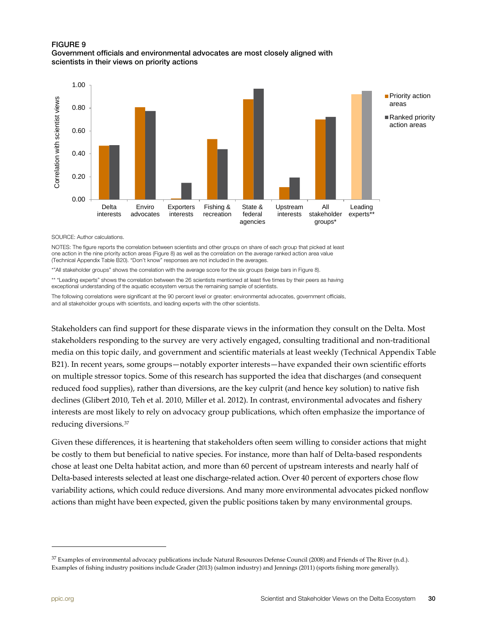### <span id="page-29-1"></span>FIGURE 9 Government officials and environmental advocates are most closely aligned with scientists in their views on priority actions



SOURCE: Author calculations.

NOTES: The figure reports the correlation between scientists and other groups on share of each group that picked at least one action in the nine priority action areas (Figure 8) as well as the correlation on the average ranked action area value (Technical Appendix Table B20). "Don't know" responses are not included in the averages.

\*"All stakeholder groups" shows the correlation with the average score for the six groups (beige bars in Figure 8).

\*\* "Leading experts" shows the correlation between the 26 scientists mentioned at least five times by their peers as having exceptional understanding of the aquatic ecosystem versus the remaining sample of scientists.

The following correlations were significant at the 90 percent level or greater: environmental advocates, government officials, and all stakeholder groups with scientists, and leading experts with the other scientists.

Stakeholders can find support for these disparate views in the information they consult on the Delta. Most stakeholders responding to the survey are very actively engaged, consulting traditional and non-traditional media on this topic daily, and government and scientific materials at least weekly (Technical Appendix Table B21). In recent years, some groups—notably exporter interests—have expanded their own scientific efforts on multiple stressor topics. Some of this research has supported the idea that discharges (and consequent reduced food supplies), rather than diversions, are the key culprit (and hence key solution) to native fish declines (Glibert 2010, Teh et al. 2010, Miller et al. 2012). In contrast, environmental advocates and fishery interests are most likely to rely on advocacy group publications, which often emphasize the importance of reducing diversions.[37](#page-29-2)

Given these differences, it is heartening that stakeholders often seem willing to consider actions that might be costly to them but beneficial to native species. For instance, more than half of Delta-based respondents chose at least one Delta habitat action, and more than 60 percent of upstream interests and nearly half of Delta-based interests selected at least one discharge-related action. Over 40 percent of exporters chose flow variability actions, which could reduce diversions. And many more environmental advocates picked nonflow actions than might have been expected, given the public positions taken by many environmental groups.

<span id="page-29-2"></span><span id="page-29-0"></span> $37$  Examples of environmental advocacy publications include Natural Resources Defense Council (2008) and Friends of The River (n.d.). Examples of fishing industry positions include Grader (2013) (salmon industry) and Jennings (2011) (sports fishing more generally).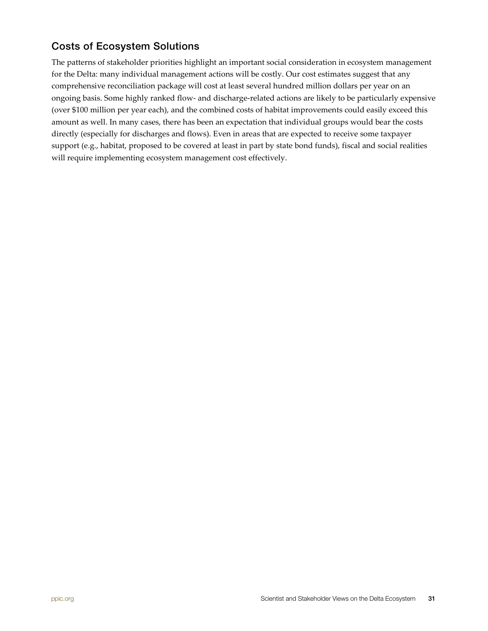## Costs of Ecosystem Solutions

The patterns of stakeholder priorities highlight an important social consideration in ecosystem management for the Delta: many individual management actions will be costly. Our cost estimates suggest that any comprehensive reconciliation package will cost at least several hundred million dollars per year on an ongoing basis. Some highly ranked flow- and discharge-related actions are likely to be particularly expensive (over \$100 million per year each), and the combined costs of habitat improvements could easily exceed this amount as well. In many cases, there has been an expectation that individual groups would bear the costs directly (especially for discharges and flows). Even in areas that are expected to receive some taxpayer support (e.g., habitat, proposed to be covered at least in part by state bond funds), fiscal and social realities will require implementing ecosystem management cost effectively.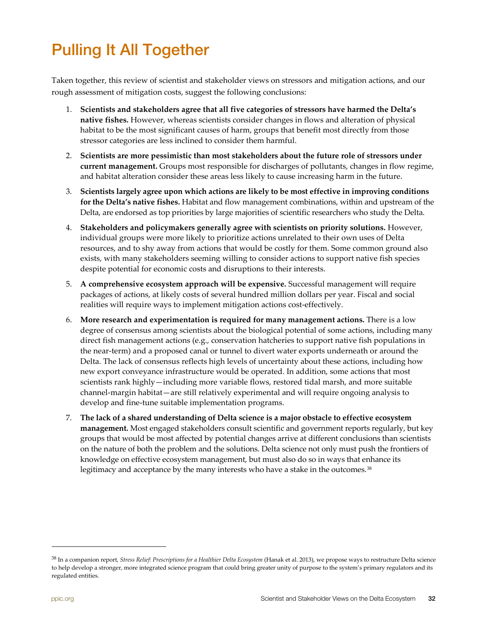# <span id="page-31-0"></span>Pulling It All Together

Taken together, this review of scientist and stakeholder views on stressors and mitigation actions, and our rough assessment of mitigation costs, suggest the following conclusions:

- 1. **Scientists and stakeholders agree that all five categories of stressors have harmed the Delta's native fishes.** However, whereas scientists consider changes in flows and alteration of physical habitat to be the most significant causes of harm, groups that benefit most directly from those stressor categories are less inclined to consider them harmful.
- 2. **Scientists are more pessimistic than most stakeholders about the future role of stressors under current management.** Groups most responsible for discharges of pollutants, changes in flow regime, and habitat alteration consider these areas less likely to cause increasing harm in the future.
- 3. **Scientists largely agree upon which actions are likely to be most effective in improving conditions for the Delta's native fishes.** Habitat and flow management combinations, within and upstream of the Delta, are endorsed as top priorities by large majorities of scientific researchers who study the Delta.
- 4. **Stakeholders and policymakers generally agree with scientists on priority solutions.** However, individual groups were more likely to prioritize actions unrelated to their own uses of Delta resources, and to shy away from actions that would be costly for them. Some common ground also exists, with many stakeholders seeming willing to consider actions to support native fish species despite potential for economic costs and disruptions to their interests.
- 5. **A comprehensive ecosystem approach will be expensive.** Successful management will require packages of actions, at likely costs of several hundred million dollars per year. Fiscal and social realities will require ways to implement mitigation actions cost-effectively.
- 6. **More research and experimentation is required for many management actions.** There is a low degree of consensus among scientists about the biological potential of some actions, including many direct fish management actions (e.g., conservation hatcheries to support native fish populations in the near-term) and a proposed canal or tunnel to divert water exports underneath or around the Delta. The lack of consensus reflects high levels of uncertainty about these actions, including how new export conveyance infrastructure would be operated. In addition, some actions that most scientists rank highly—including more variable flows, restored tidal marsh, and more suitable channel-margin habitat—are still relatively experimental and will require ongoing analysis to develop and fine-tune suitable implementation programs.
- 7. **The lack of a shared understanding of Delta science is a major obstacle to effective ecosystem management.** Most engaged stakeholders consult scientific and government reports regularly, but key groups that would be most affected by potential changes arrive at different conclusions than scientists on the nature of both the problem and the solutions. Delta science not only must push the frontiers of knowledge on effective ecosystem management, but must also do so in ways that enhance its legitimacy and acceptance by the many interests who have a stake in the outcomes.<sup>[38](#page-31-1)</sup>

<span id="page-31-1"></span><sup>38</sup> In a companion report, *[Stress Relief: Prescriptions for a Healthier Delta Ecosystem](http://www.ppic.org/main/publication.asp?i=1051)* (Hanak et al. 2013), we propose ways to restructure Delta science to help develop a stronger, more integrated science program that could bring greater unity of purpose to the system's primary regulators and its regulated entities.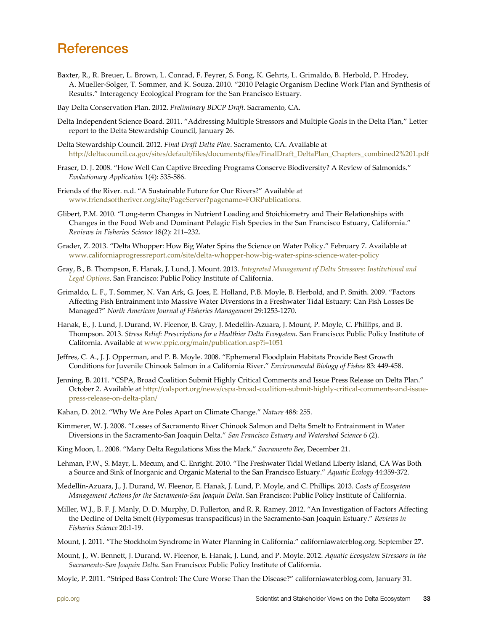## <span id="page-32-0"></span>**References**

- Baxter, R., R. Breuer, L. Brown, L. Conrad, F. Feyrer, S. Fong, K. Gehrts, L. Grimaldo, B. Herbold, P. Hrodey, A. Mueller-Solger, T. Sommer, and K. Souza. 2010. "2010 Pelagic Organism Decline Work Plan and Synthesis of Results." Interagency Ecological Program for the San Francisco Estuary.
- Bay Delta Conservation Plan. 2012. *Preliminary BDCP Draft*. Sacramento, CA.
- Delta Independent Science Board. 2011. "Addressing Multiple Stressors and Multiple Goals in the Delta Plan," Letter report to the Delta Stewardship Council, January 26.
- Delta Stewardship Council. 2012. *Final Draft Delta Plan*. Sacramento, CA. Available at [http://deltacouncil.ca.gov/sites/default/files/documents/files/FinalDraft\\_DeltaPlan\\_Chapters\\_combined2%201.pdf](http://deltacouncil.ca.gov/sites/default/files/documents/files/FinalDraft_DeltaPlan_Chapters_combined2%201.pdf)
- Fraser, D. J. 2008. "How Well Can Captive Breeding Programs Conserve Biodiversity? A Review of Salmonids." *Evolutionary Application* 1(4): 535-586.
- Friends of the River. n.d. "A Sustainable Future for Our Rivers?" Available at [www.friendsoftheriver.org/site/PageServer?pagename=FORPublications.](http://www.friendsoftheriver.org/site/PageServer?pagename=FORPublications)
- Glibert, P.M. 2010. "Long-term Changes in Nutrient Loading and Stoichiometry and Their Relationships with Changes in the Food Web and Dominant Pelagic Fish Species in the San Francisco Estuary, California." *Reviews in Fisheries Science* 18(2): 211–232.
- Grader, Z. 2013. "Delta Whopper: How Big Water Spins the Science on Water Policy." February 7. Available at [www.californiaprogressreport.com/site/delta-whopper-how-big-water-spins-science-water-policy](http://www.californiaprogressreport.com/site/delta-whopper-how-big-water-spins-science-water-policy)
- Gray, B., B. Thompson, E. Hanak, J. Lund, J. Mount. 2013. *[Integrated Management of Delta Stressors: Institutional and](http://www.ppic.org/main/publication.asp?i=1054)  [Legal Options](http://www.ppic.org/main/publication.asp?i=1054)*. San Francisco: Public Policy Institute of California.
- Grimaldo, L. F., T. Sommer, N. Van Ark, G. Joes, E. Holland, P.B. Moyle, B. Herbold, and P. Smith. 2009. "Factors Affecting Fish Entrainment into Massive Water Diversions in a Freshwater Tidal Estuary: Can Fish Losses Be Managed?" *North American Journal of Fisheries Management* 29:1253-1270.
- Hanak, E., J. Lund, J. Durand, W. Fleenor, B. Gray, J. Medellín-Azuara, J. Mount, P. Moyle, C. Phillips, and B. Thompson. 2013. *Stress Relief: Prescriptions for a Healthier Delta Ecosystem*. San Francisco: Public Policy Institute of California. Available at [www.ppic.org/main/publication.asp?i=1051](http://www.ppic.org/main/publication.asp?i=1051)
- Jeffres, C. A., J. J. Opperman, and P. B. Moyle. 2008. "Ephemeral Floodplain Habitats Provide Best Growth Conditions for Juvenile Chinook Salmon in a California River." *Environmental Biology of Fishes* 83: 449-458.
- Jenning, B. 2011. "CSPA, Broad Coalition Submit Highly Critical Comments and Issue Press Release on Delta Plan." October 2. Available a[t http://calsport.org/news/cspa-broad-coalition-submit-highly-critical-comments-and-issue](http://calsport.org/news/cspa-broad-coalition-submit-highly-critical-comments-and-issue-press-release-on-delta-plan/)[press-release-on-delta-plan/](http://calsport.org/news/cspa-broad-coalition-submit-highly-critical-comments-and-issue-press-release-on-delta-plan/)
- Kahan, D. 2012. "Why We Are Poles Apart on Climate Change." *Nature* 488: 255.
- Kimmerer, W. J. 2008. "Losses of Sacramento River Chinook Salmon and Delta Smelt to Entrainment in Water Diversions in the Sacramento-San Joaquin Delta." *San Francisco Estuary and Watershed Science* 6 (2).
- King Moon, L. 2008. "Many Delta Regulations Miss the Mark." *Sacramento Bee*, December 21.
- Lehman, P.W., S. Mayr, L. Mecum, and C. Enright. 2010. "The Freshwater Tidal Wetland Liberty Island, CA Was Both a Source and Sink of Inorganic and Organic Material to the San Francisco Estuary." *Aquatic Ecology* 44:359-372.
- [Medellín-Azuara, J., J. Durand, W. Fleenor, E. Hanak, J. Lund, P. Moyle, and C. Phillips. 2013.](http://www.ppic.org/main/publication.asp?i=1052) *Costs of Ecosystem Management Actions for the Sacramento-San Joaquin Delta*. San Francisco: Public Policy Institute of California.
- Miller, W.J., B. F. J. Manly, D. D. Murphy, D. Fullerton, and R. R. Ramey. 2012. "An Investigation of Factors Affecting the Decline of Delta Smelt (Hypomesus transpacificus) in the Sacramento-San Joaquin Estuary." *Reviews in Fisheries Science* 20:1-19.
- Mount, J. 2011. "The Stockholm Syndrome in Water Planning in California." californiawaterblog.org. September 27.
- [Mount, J., W. Bennett, J. Durand, W. Fleenor, E. Hanak, J. Lund, and P. Moyle. 2012.](http://www.ppic.org/main/publication.asp?i=1024) *Aquatic Ecosystem Stressors in the Sacramento-San Joaquin Delta*. San Francisco: Public Policy Institute of California.
- Moyle, P. 2011. "Striped Bass Control: The Cure Worse Than the Disease?" californiawaterblog.com, January 31.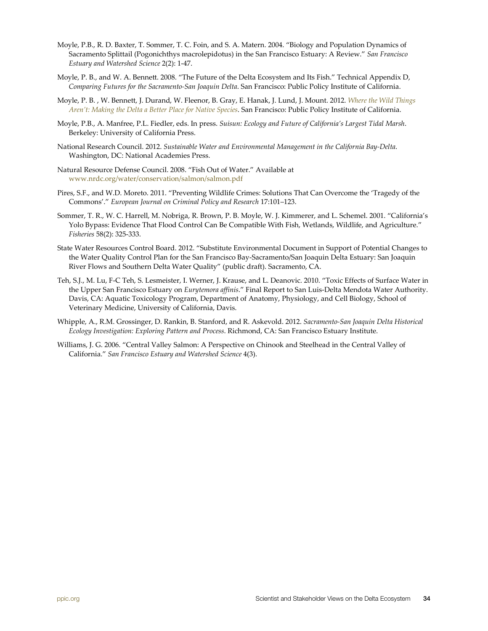- Moyle, P.B., R. D. Baxter, T. Sommer, T. C. Foin, and S. A. Matern. 2004. "Biology and Population Dynamics of Sacramento Splittail (Pogonichthys macrolepidotus) in the San Francisco Estuary: A Review." *San Francisco Estuary and Watershed Science* 2(2): 1-47.
- [Moyle, P. B., and W. A. Bennett. 2008. "The Future of the Delta Ecosystem and Its Fish." Technical Appendix D,](http://www.ppic.org/main/publication.asp?i=810)  *Comparing Futures for the Sacramento-San Joaquin Delta*. San Francisco: Public Policy Institute of California.
- Moyle, P. B. , W. Bennett, J. Durand, W. Fleenor, B. Gray, E. Hanak, J. Lund, J. Mount. 2012. *[Where the Wild Things](http://www.ppic.org/main/publication.asp?i=1025)  [Aren't: Making the Delta a Better Place for Native Species](http://www.ppic.org/main/publication.asp?i=1025)*. San Francisco: Public Policy Institute of California.
- Moyle, P.B., A. Manfree, P.L. Fiedler, eds. In press. *Suisun: Ecology and Future of California's Largest Tidal Marsh*. Berkeley: University of California Press.
- National Research Council. 2012. *Sustainable Water and Environmental Management in the California Bay-Delta*. Washington, DC: National Academies Press.
- Natural Resource Defense Council. 2008. "Fish Out of Water." Available at [www.nrdc.org/water/conservation/salmon/salmon.pdf](http://www.nrdc.org/water/conservation/salmon/salmon.pdf)
- [Pires, S.F., and W.D. Moreto.](http://www.sciencedirect.com/science/article/pii/S0006320711003685#b0200) 2011. "Preventing Wildlife Crimes: Solutions That Can Overcome the 'Tragedy of the Commons'." *European Journal on Criminal Policy and Research* 17:101–123.
- Sommer, T. R., W. C. Harrell, M. Nobriga, R. Brown, P. B. Moyle, W. J. Kimmerer, and L. Schemel. 2001. "California's Yolo Bypass: Evidence That Flood Control Can Be Compatible With Fish, Wetlands, Wildlife, and Agriculture." *Fisheries* 58(2): 325-333.
- State Water Resources Control Board. 2012. "Substitute Environmental Document in Support of Potential Changes to the Water Quality Control Plan for the San Francisco Bay-Sacramento/San Joaquin Delta Estuary: San Joaquin River Flows and Southern Delta Water Quality" (public draft). Sacramento, CA.
- Teh, S.J., M. Lu, F-C Teh, S. Lesmeister, I. Werner, J. Krause, and L. Deanovic. 2010. "Toxic Effects of Surface Water in the Upper San Francisco Estuary on *Eurytemora affinis*." Final Report to San Luis-Delta Mendota Water Authority. Davis, CA: Aquatic Toxicology Program, Department of Anatomy, Physiology, and Cell Biology, School of Veterinary Medicine, University of California, Davis.
- Whipple, A., R.M. Grossinger, D. Rankin, B. Stanford, and R. Askevold. 2012. *Sacramento-San Joaquin Delta Historical Ecology Investigation: Exploring Pattern and Process*. Richmond, CA: San Francisco Estuary Institute.
- Williams, J. G. 2006. "Central Valley Salmon: A Perspective on Chinook and Steelhead in the Central Valley of California." *San Francisco Estuary and Watershed Science* 4(3).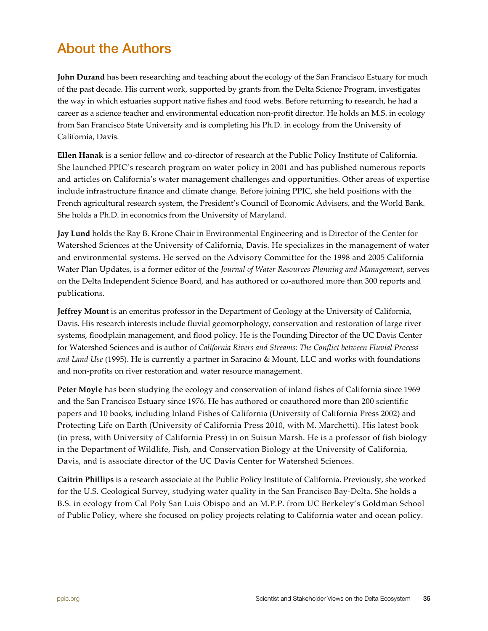## <span id="page-34-0"></span>About the Authors

**John Durand** has been researching and teaching about the ecology of the San Francisco Estuary for much of the past decade. His current work, supported by grants from the Delta Science Program, investigates the way in which estuaries support native fishes and food webs. Before returning to research, he had a career as a science teacher and environmental education non-profit director. He holds an M.S. in ecology from San Francisco State University and is completing his Ph.D. in ecology from the University of California, Davis.

**Ellen Hanak** is a senior fellow and co-director of research at the Public Policy Institute of California. She launched PPIC's research program on water policy in 2001 and has published numerous reports and articles on California's water management challenges and opportunities. Other areas of expertise include infrastructure finance and climate change. Before joining PPIC, she held positions with the French agricultural research system, the President's Council of Economic Advisers, and the World Bank. She holds a Ph.D. in economics from the University of Maryland.

**Jay Lund** holds the Ray B. Krone Chair in Environmental Engineering and is Director of the Center for Watershed Sciences at the University of California, Davis. He specializes in the management of water and environmental systems. He served on the Advisory Committee for the 1998 and 2005 California Water Plan Updates, is a former editor of the *Journal of Water Resources Planning and Management*, serves on the Delta Independent Science Board, and has authored or co-authored more than 300 reports and publications.

**Jeffrey Mount** is an emeritus professor in the Department of Geology at the University of California, Davis. His research interests include fluvial geomorphology, conservation and restoration of large river systems, floodplain management, and flood policy. He is the Founding Director of the UC Davis Center for Watershed Sciences and is author of *California Rivers and Streams: The Conflict between Fluvial Process and Land Use* (1995). He is currently a partner in Saracino & Mount, LLC and works with foundations and non-profits on river restoration and water resource management.

**Peter Moyle** has been studying the ecology and conservation of inland fishes of California since 1969 and the San Francisco Estuary since 1976. He has authored or coauthored more than 200 scientific papers and 10 books, including Inland Fishes of California (University of California Press 2002) and Protecting Life on Earth (University of California Press 2010, with M. Marchetti). His latest book (in press, with University of California Press) in on Suisun Marsh. He is a professor of fish biology in the Department of Wildlife, Fish, and Conservation Biology at the University of California, Davis, and is associate director of the UC Davis Center for Watershed Sciences.

**Caitrin Phillips** is a research associate at the Public Policy Institute of California. Previously, she worked for the U.S. Geological Survey, studying water quality in the San Francisco Bay-Delta. She holds a B.S. in ecology from Cal Poly San Luis Obispo and an M.P.P. from UC Berkeley's Goldman School of Public Policy, where she focused on policy projects relating to California water and ocean policy.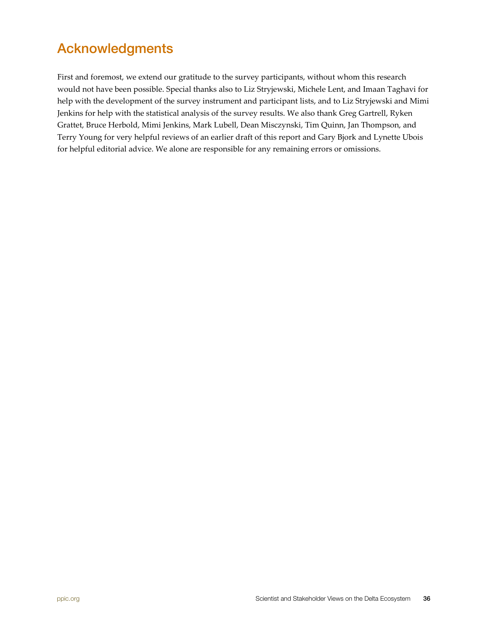## <span id="page-35-0"></span>Acknowledgments

First and foremost, we extend our gratitude to the survey participants, without whom this research would not have been possible. Special thanks also to Liz Stryjewski, Michele Lent, and Imaan Taghavi for help with the development of the survey instrument and participant lists, and to Liz Stryjewski and Mimi Jenkins for help with the statistical analysis of the survey results. We also thank Greg Gartrell, Ryken Grattet, Bruce Herbold, Mimi Jenkins, Mark Lubell, Dean Misczynski, Tim Quinn, Jan Thompson, and Terry Young for very helpful reviews of an earlier draft of this report and Gary Bjork and Lynette Ubois for helpful editorial advice. We alone are responsible for any remaining errors or omissions.